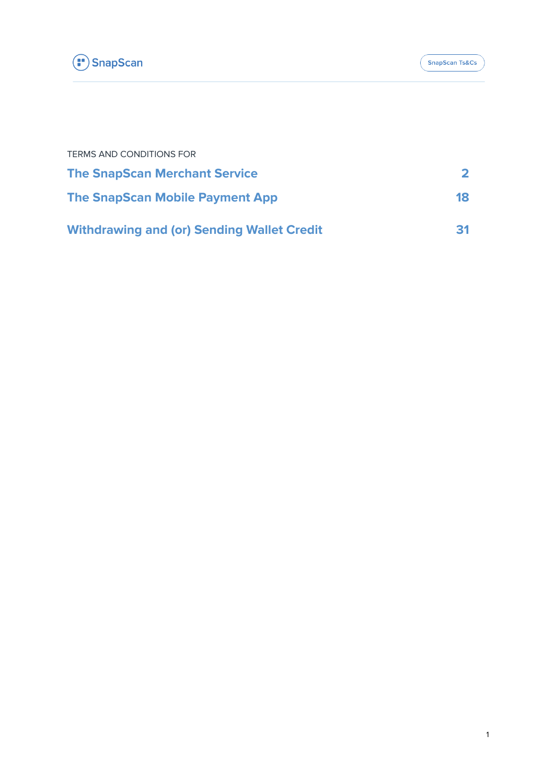

| <b>TERMS AND CONDITIONS FOR</b>                   |    |
|---------------------------------------------------|----|
| <b>The SnapScan Merchant Service</b>              |    |
| <b>The SnapScan Mobile Payment App</b>            | 18 |
| <b>Withdrawing and (or) Sending Wallet Credit</b> | 31 |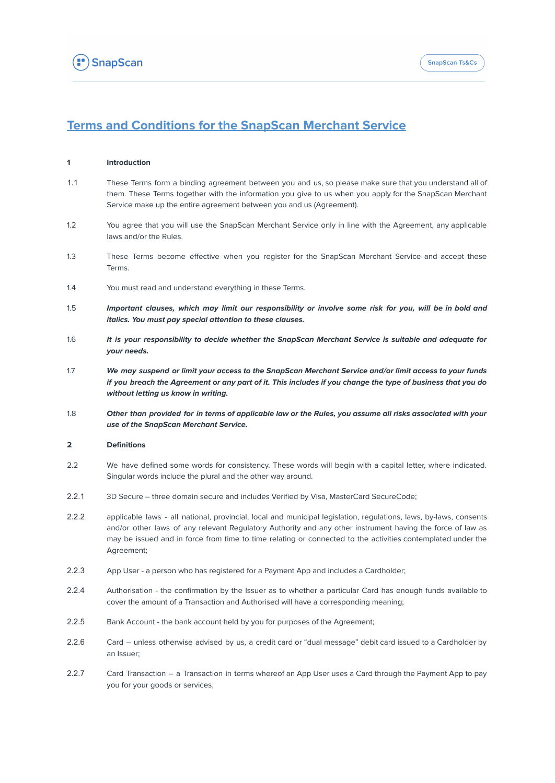

# <span id="page-1-0"></span>**Terms and Conditions for the SnapScan Merchant Service**

### **1 Introduction**

- 1.1 These Terms form a binding agreement between you and us, so please make sure that you understand all of them. These Terms together with the information you give to us when you apply for the SnapScan Merchant Service make up the entire agreement between you and us (Agreement).
- 1.2 You agree that you will use the SnapScan Merchant Service only in line with the Agreement, any applicable laws and/or the Rules.
- 1.3 These Terms become effective when you register for the SnapScan Merchant Service and accept these Terms.
- 1.4 You must read and understand everything in these Terms.
- 1.5 Important clauses, which may limit our responsibility or involve some risk for you, will be in bold and **italics. You must pay special attention to these clauses.**
- 1.6 **It is your responsibility to decide whether the SnapScan Merchant Service is suitable and adequate for your needs.**
- 1.7 We may suspend or limit your access to the SnapScan Merchant Service and/or limit access to your funds if you breach the Agreement or any part of it. This includes if you change the type of business that you do **without letting us know in writing.**
- 1.8 Other than provided for in terms of applicable law or the Rules, you assume all risks associated with your **use of the SnapScan Merchant Service.**

### **2 Definitions**

- 2.2 We have defined some words for consistency. These words will begin with a capital letter, where indicated. Singular words include the plural and the other way around.
- 2.2.1 3D Secure three domain secure and includes Verified by Visa, MasterCard SecureCode;
- 2.2.2 applicable laws all national, provincial, local and municipal legislation, regulations, laws, by-laws, consents and/or other laws of any relevant Regulatory Authority and any other instrument having the force of law as may be issued and in force from time to time relating or connected to the activities contemplated under the Agreement;
- 2.2.3 App User a person who has registered for a Payment App and includes a Cardholder;
- 2.2.4 Authorisation the confirmation by the Issuer as to whether a particular Card has enough funds available to cover the amount of a Transaction and Authorised will have a corresponding meaning;
- 2.2.5 Bank Account the bank account held by you for purposes of the Agreement;
- 2.2.6 Card unless otherwise advised by us, a credit card or "dual message" debit card issued to a Cardholder by an Issuer;
- 2.2.7 Card Transaction a Transaction in terms whereof an App User uses a Card through the Payment App to pay you for your goods or services;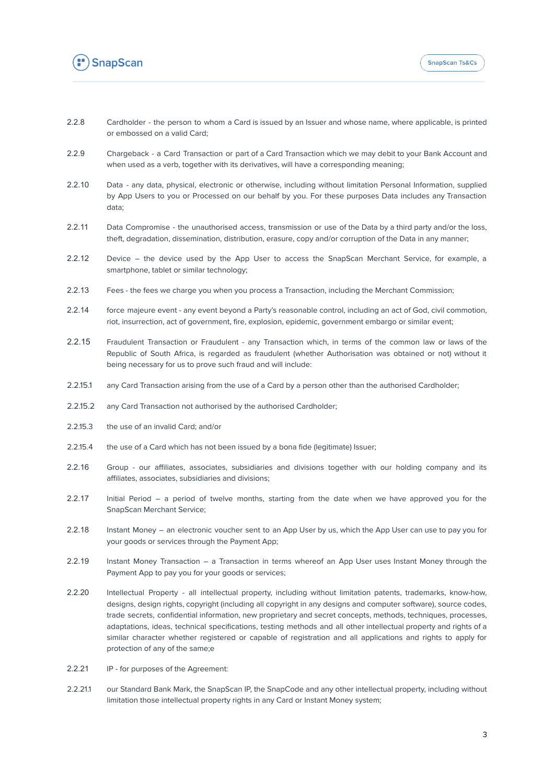

- 2.2.8 Cardholder the person to whom a Card is issued by an Issuer and whose name, where applicable, is printed or embossed on a valid Card;
- 2.2.9 Chargeback a Card Transaction or part of a Card Transaction which we may debit to your Bank Account and when used as a verb, together with its derivatives, will have a corresponding meaning;
- 2.2.10 Data any data, physical, electronic or otherwise, including without limitation Personal Information, supplied by App Users to you or Processed on our behalf by you. For these purposes Data includes any Transaction data;
- 2.2.11 Data Compromise the unauthorised access, transmission or use of the Data by a third party and/or the loss, theft, degradation, dissemination, distribution, erasure, copy and/or corruption of the Data in any manner;
- 2.2.12 Device the device used by the App User to access the SnapScan Merchant Service, for example, a smartphone, tablet or similar technology;
- 2.2.13 Fees the fees we charge you when you process a Transaction, including the Merchant Commission;
- 2.2.14 force majeure event any event beyond a Party's reasonable control, including an act of God, civil commotion, riot, insurrection, act of government, fire, explosion, epidemic, government embargo or similar event;
- 2.2.15 Fraudulent Transaction or Fraudulent any Transaction which, in terms of the common law or laws of the Republic of South Africa, is regarded as fraudulent (whether Authorisation was obtained or not) without it being necessary for us to prove such fraud and will include:
- 2.2.15.1 any Card Transaction arising from the use of a Card by a person other than the authorised Cardholder;
- 2.2.15.2 any Card Transaction not authorised by the authorised Cardholder;
- 2.2.15.3 the use of an invalid Card; and/or
- 2.2.15.4 the use of a Card which has not been issued by a bona fide (legitimate) Issuer;
- 2.2.16 Group our affiliates, associates, subsidiaries and divisions together with our holding company and its affiliates, associates, subsidiaries and divisions;
- 2.2.17 Initial Period a period of twelve months, starting from the date when we have approved you for the SnapScan Merchant Service;
- 2.2.18 Instant Money an electronic voucher sent to an App User by us, which the App User can use to pay you for your goods or services through the Payment App;
- 2.2.19 Instant Money Transaction a Transaction in terms whereof an App User uses Instant Money through the Payment App to pay you for your goods or services;
- 2.2.20 Intellectual Property all intellectual property, including without limitation patents, trademarks, know-how, designs, design rights, copyright (including all copyright in any designs and computer software), source codes, trade secrets, confidential information, new proprietary and secret concepts, methods, techniques, processes, adaptations, ideas, technical specifications, testing methods and all other intellectual property and rights of a similar character whether registered or capable of registration and all applications and rights to apply for protection of any of the same;e
- 2.2.21 IP for purposes of the Agreement:
- 2.2.21.1 our Standard Bank Mark, the SnapScan IP, the SnapCode and any other intellectual property, including without limitation those intellectual property rights in any Card or Instant Money system;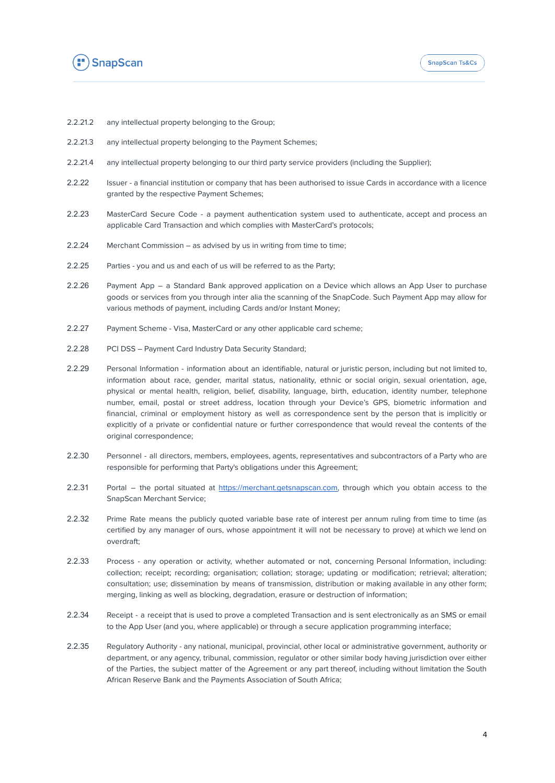

- 2.2.21.2 any intellectual property belonging to the Group;
- 2.2.21.3 any intellectual property belonging to the Payment Schemes;
- 2.2.21.4 any intellectual property belonging to our third party service providers (including the Supplier);
- 2.2.22 Issuer a financial institution or company that has been authorised to issue Cards in accordance with a licence granted by the respective Payment Schemes;
- 2.2.23 MasterCard Secure Code a payment authentication system used to authenticate, accept and process an applicable Card Transaction and which complies with MasterCard's protocols;
- 2.2.24 Merchant Commission as advised by us in writing from time to time;
- 2.2.25 Parties you and us and each of us will be referred to as the Party;
- 2.2.26 Payment App a Standard Bank approved application on a Device which allows an App User to purchase goods or services from you through inter alia the scanning of the SnapCode. Such Payment App may allow for various methods of payment, including Cards and/or Instant Money;
- 2.2.27 Payment Scheme Visa, MasterCard or any other applicable card scheme;
- 2.2.28 PCI DSS Payment Card Industry Data Security Standard;
- 2.2.29 Personal Information information about an identifiable, natural or juristic person, including but not limited to, information about race, gender, marital status, nationality, ethnic or social origin, sexual orientation, age, physical or mental health, religion, belief, disability, language, birth, education, identity number, telephone number, email, postal or street address, location through your Device's GPS, biometric information and financial, criminal or employment history as well as correspondence sent by the person that is implicitly or explicitly of a private or confidential nature or further correspondence that would reveal the contents of the original correspondence;
- 2.2.30 Personnel all directors, members, employees, agents, representatives and subcontractors of a Party who are responsible for performing that Party's obligations under this Agreement;
- 2.2.31 Portal the portal situated at [https://merchant.getsnapscan.com,](https://merchant.getsnapscan.com/) through which you obtain access to the SnapScan Merchant Service;
- 2.2.32 Prime Rate means the publicly quoted variable base rate of interest per annum ruling from time to time (as certified by any manager of ours, whose appointment it will not be necessary to prove) at which we lend on overdraft;
- 2.2.33 Process any operation or activity, whether automated or not, concerning Personal Information, including: collection; receipt; recording; organisation; collation; storage; updating or modification; retrieval; alteration; consultation; use; dissemination by means of transmission, distribution or making available in any other form; merging, linking as well as blocking, degradation, erasure or destruction of information;
- 2.2.34 Receipt a receipt that is used to prove a completed Transaction and is sent electronically as an SMS or email to the App User (and you, where applicable) or through a secure application programming interface;
- 2.2.35 Regulatory Authority any national, municipal, provincial, other local or administrative government, authority or department, or any agency, tribunal, commission, regulator or other similar body having jurisdiction over either of the Parties, the subject matter of the Agreement or any part thereof, including without limitation the South African Reserve Bank and the Payments Association of South Africa;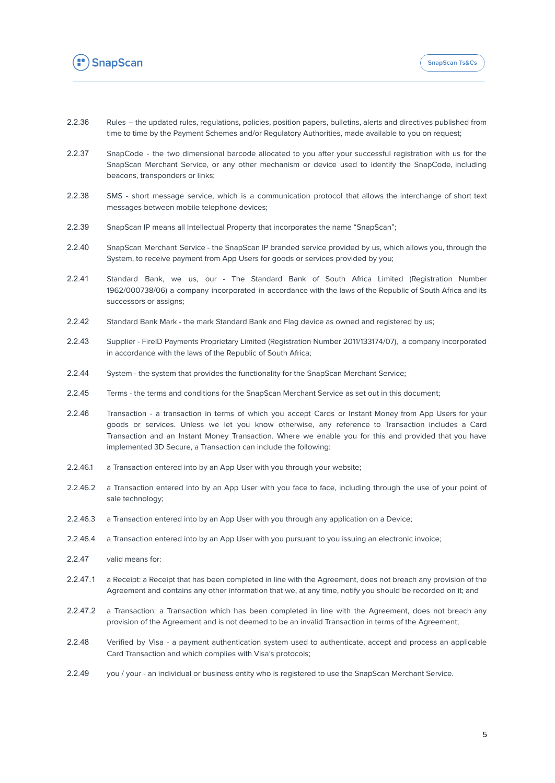

- 2.2.36 Rules the updated rules, regulations, policies, position papers, bulletins, alerts and directives published from time to time by the Payment Schemes and/or Regulatory Authorities, made available to you on request;
- 2.2.37 SnapCode the two dimensional barcode allocated to you after your successful registration with us for the SnapScan Merchant Service, or any other mechanism or device used to identify the SnapCode, including beacons, transponders or links;
- 2.2.38 SMS short message service, which is a communication protocol that allows the interchange of short text messages between mobile telephone devices;
- 2.2.39 SnapScan IP means all Intellectual Property that incorporates the name "SnapScan";
- 2.2.40 SnapScan Merchant Service the SnapScan IP branded service provided by us, which allows you, through the System, to receive payment from App Users for goods or services provided by you;
- 2.2.41 Standard Bank, we us, our The Standard Bank of South Africa Limited (Registration Number 1962/000738/06) a company incorporated in accordance with the laws of the Republic of South Africa and its successors or assigns;
- 2.2.42 Standard Bank Mark the mark Standard Bank and Flag device as owned and registered by us;
- 2.2.43 Supplier FireID Payments Proprietary Limited (Registration Number 2011/133174/07), a company incorporated in accordance with the laws of the Republic of South Africa;
- 2.2.44 System the system that provides the functionality for the SnapScan Merchant Service;
- 2.2.45 Terms the terms and conditions for the SnapScan Merchant Service as set out in this document;
- 2.2.46 Transaction a transaction in terms of which you accept Cards or Instant Money from App Users for your goods or services. Unless we let you know otherwise, any reference to Transaction includes a Card Transaction and an Instant Money Transaction. Where we enable you for this and provided that you have implemented 3D Secure, a Transaction can include the following:
- 2.2.46.1 a Transaction entered into by an App User with you through your website;
- 2.2.46.2 a Transaction entered into by an App User with you face to face, including through the use of your point of sale technology;
- 2.2.46.3 a Transaction entered into by an App User with you through any application on a Device;
- 2.2.46.4 a Transaction entered into by an App User with you pursuant to you issuing an electronic invoice;
- 2.2.47 valid means for:
- 2.2.47.1 a Receipt: a Receipt that has been completed in line with the Agreement, does not breach any provision of the Agreement and contains any other information that we, at any time, notify you should be recorded on it; and
- 2.2.47.2 a Transaction: a Transaction which has been completed in line with the Agreement, does not breach any provision of the Agreement and is not deemed to be an invalid Transaction in terms of the Agreement;
- 2.2.48 Verified by Visa a payment authentication system used to authenticate, accept and process an applicable Card Transaction and which complies with Visa's protocols;
- 2.2.49 you / your an individual or business entity who is registered to use the SnapScan Merchant Service.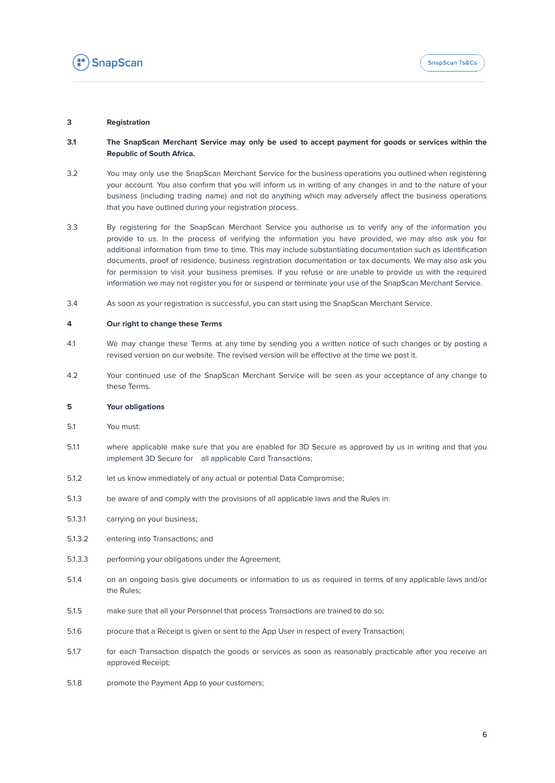

### **3 Registration**

### 3.1 The SnapScan Merchant Service may only be used to accept payment for goods or services within the **Republic of South Africa.**

- 3.2 You may only use the SnapScan Merchant Service for the business operations you outlined when registering your account. You also confirm that you will inform us in writing of any changes in and to the nature of your business (including trading name) and not do anything which may adversely affect the business operations that you have outlined during your registration process.
- 3.3 By registering for the SnapScan Merchant Service you authorise us to verify any of the information you provide to us. In the process of verifying the information you have provided, we may also ask you for additional information from time to time. This may include substantiating documentation such as identification documents, proof of residence, business registration documentation or tax documents. We may also ask you for permission to visit your business premises. If you refuse or are unable to provide us with the required information we may not register you for or suspend or terminate your use of the SnapScan Merchant Service.
- 3.4 As soon as your registration is successful, you can start using the SnapScan Merchant Service.

### **4 Our right to change these Terms**

- 4.1 We may change these Terms at any time by sending you a written notice of such changes or by posting a revised version on our website. The revised version will be effective at the time we post it.
- 4.2 Your continued use of the SnapScan Merchant Service will be seen as your acceptance of any change to these Terms.

### **5 Your obligations**

- 5.1 You must:
- 5.1.1 where applicable make sure that you are enabled for 3D Secure as approved by us in writing and that you implement 3D Secure for all applicable Card Transactions;
- 5.1.2 let us know immediately of any actual or potential Data Compromise;
- 5.1.3 be aware of and comply with the provisions of all applicable laws and the Rules in:
- 5.1.3.1 carrying on your business;
- 5.1.3.2 entering into Transactions; and
- 5.1.3.3 performing your obligations under the Agreement;
- 5.1.4 on an ongoing basis give documents or information to us as required in terms of any applicable laws and/or the Rules;
- 5.1.5 make sure that all your Personnel that process Transactions are trained to do so;
- 5.1.6 procure that a Receipt is given or sent to the App User in respect of every Transaction;
- 5.1.7 for each Transaction dispatch the goods or services as soon as reasonably practicable after you receive an approved Receipt;
- 5.1.8 promote the Payment App to your customers;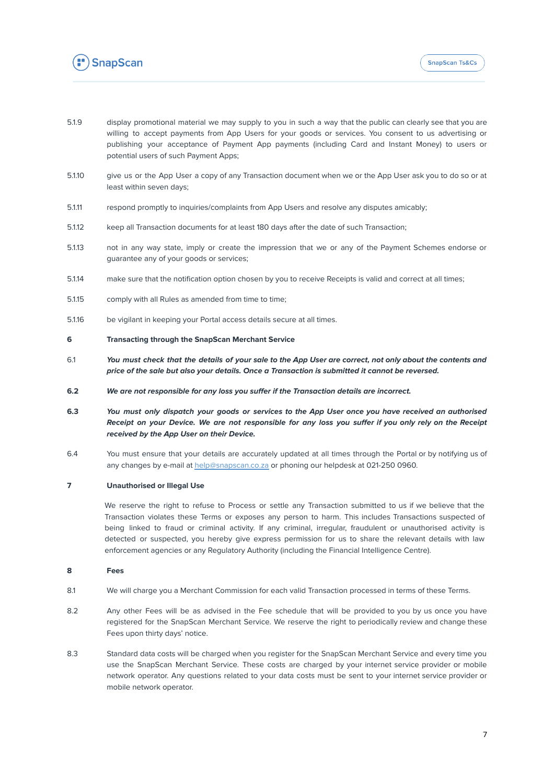

- 5.1.9 display promotional material we may supply to you in such a way that the public can clearly see that you are willing to accept payments from App Users for your goods or services. You consent to us advertising or publishing your acceptance of Payment App payments (including Card and Instant Money) to users or potential users of such Payment Apps;
- 5.1.10 give us or the App User a copy of any Transaction document when we or the App User ask you to do so or at least within seven days;
- 5.1.11 respond promptly to inquiries/complaints from App Users and resolve any disputes amicably;
- 5.1.12 keep all Transaction documents for at least 180 days after the date of such Transaction;
- 5.1.13 not in any way state, imply or create the impression that we or any of the Payment Schemes endorse or guarantee any of your goods or services;
- 5.1.14 make sure that the notification option chosen by you to receive Receipts is valid and correct at all times;
- 5.1.15 comply with all Rules as amended from time to time;
- 5.1.16 be vigilant in keeping your Portal access details secure at all times.

### **6 Transacting through the SnapScan Merchant Service**

- 6.1 You must check that the details of your sale to the App User are correct, not only about the contents and **price of the sale but also your details. Once a Transaction is submitted it cannot be reversed.**
- **6.2 We are not responsible for any loss you suffer if the Transaction details are incorrect.**
- 6.3 You must only dispatch your goods or services to the App User once you have received an authorised Receipt on your Device. We are not responsible for any loss you suffer if you only rely on the Receipt **received by the App User on their Device.**
- 6.4 You must ensure that your details are accurately updated at all times through the Portal or by notifying us of any changes by e-mail at [help@snapscan.co.za](mailto:help@SnapScan.co.za) or phoning our helpdesk at 021-250 0960.

### **7 Unauthorised or Illegal Use**

We reserve the right to refuse to Process or settle any Transaction submitted to us if we believe that the Transaction violates these Terms or exposes any person to harm. This includes Transactions suspected of being linked to fraud or criminal activity. If any criminal, irregular, fraudulent or unauthorised activity is detected or suspected, you hereby give express permission for us to share the relevant details with law enforcement agencies or any Regulatory Authority (including the Financial Intelligence Centre).

### **8 Fees**

- 8.1 We will charge you a Merchant Commission for each valid Transaction processed in terms of these Terms.
- 8.2 Any other Fees will be as advised in the Fee schedule that will be provided to you by us once you have registered for the SnapScan Merchant Service. We reserve the right to periodically review and change these Fees upon thirty days' notice.
- 8.3 Standard data costs will be charged when you register for the SnapScan Merchant Service and every time you use the SnapScan Merchant Service. These costs are charged by your internet service provider or mobile network operator. Any questions related to your data costs must be sent to your internet service provider or mobile network operator.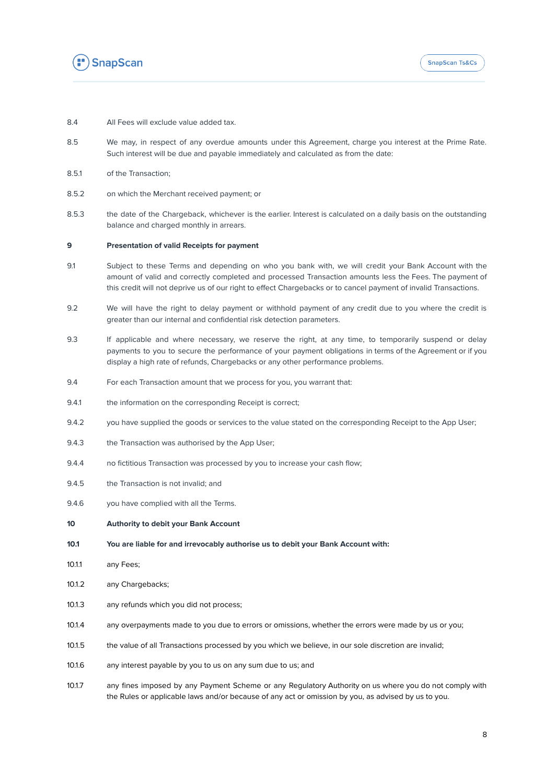

- 8.4 All Fees will exclude value added tax.
- 8.5 We may, in respect of any overdue amounts under this Agreement, charge you interest at the Prime Rate. Such interest will be due and payable immediately and calculated as from the date:
- 8.5.1 of the Transaction;
- 8.5.2 on which the Merchant received payment; or
- 8.5.3 the date of the Chargeback, whichever is the earlier. Interest is calculated on a daily basis on the outstanding balance and charged monthly in arrears.

#### **9 Presentation of valid Receipts for payment**

- 9.1 Subject to these Terms and depending on who you bank with, we will credit your Bank Account with the amount of valid and correctly completed and processed Transaction amounts less the Fees. The payment of this credit will not deprive us of our right to effect Chargebacks or to cancel payment of invalid Transactions.
- 9.2 We will have the right to delay payment or withhold payment of any credit due to you where the credit is greater than our internal and confidential risk detection parameters.
- 9.3 If applicable and where necessary, we reserve the right, at any time, to temporarily suspend or delay payments to you to secure the performance of your payment obligations in terms of the Agreement or if you display a high rate of refunds, Chargebacks or any other performance problems.
- 9.4 For each Transaction amount that we process for you, you warrant that:
- 9.4.1 the information on the corresponding Receipt is correct;
- 9.4.2 you have supplied the goods or services to the value stated on the corresponding Receipt to the App User;
- 9.4.3 the Transaction was authorised by the App User;
- 9.4.4 no fictitious Transaction was processed by you to increase your cash flow;
- 9.4.5 the Transaction is not invalid; and
- 9.4.6 you have complied with all the Terms.
- **10 Authority to debit your Bank Account**
- **10.1 You are liable for and irrevocably authorise us to debit your Bank Account with:**
- 10.1.1 any Fees;
- 10.1.2 any Chargebacks;
- 10.1.3 any refunds which you did not process;
- 10.1.4 any overpayments made to you due to errors or omissions, whether the errors were made by us or you;
- 10.1.5 the value of all Transactions processed by you which we believe, in our sole discretion are invalid;
- 10.1.6 any interest payable by you to us on any sum due to us; and
- 10.1.7 any fines imposed by any Payment Scheme or any Regulatory Authority on us where you do not comply with the Rules or applicable laws and/or because of any act or omission by you, as advised by us to you.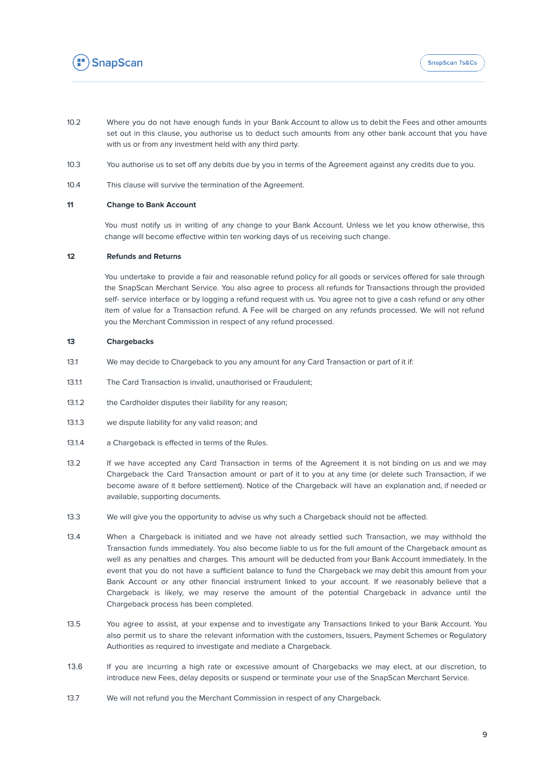

- 10.2 Where you do not have enough funds in your Bank Account to allow us to debit the Fees and other amounts set out in this clause, you authorise us to deduct such amounts from any other bank account that you have with us or from any investment held with any third party.
- 10.3 You authorise us to set off any debits due by you in terms of the Agreement against any credits due to you.
- 10.4 This clause will survive the termination of the Agreement.

### **11 Change to Bank Account**

You must notify us in writing of any change to your Bank Account. Unless we let you know otherwise, this change will become effective within ten working days of us receiving such change.

### **12 Refunds and Returns**

You undertake to provide a fair and reasonable refund policy for all goods or services offered for sale through the SnapScan Merchant Service. You also agree to process all refunds for Transactions through the provided self- service interface or by logging a refund request with us. You agree not to give a cash refund or any other item of value for a Transaction refund. A Fee will be charged on any refunds processed. We will not refund you the Merchant Commission in respect of any refund processed.

### **13 Chargebacks**

- 13.1 We may decide to Chargeback to you any amount for any Card Transaction or part of it if:
- 13.1.1 The Card Transaction is invalid, unauthorised or Fraudulent;
- 13.1.2 the Cardholder disputes their liability for any reason;
- 13.1.3 we dispute liability for any valid reason; and
- 13.1.4 a Chargeback is effected in terms of the Rules.
- 13.2 If we have accepted any Card Transaction in terms of the Agreement it is not binding on us and we may Chargeback the Card Transaction amount or part of it to you at any time (or delete such Transaction, if we become aware of it before settlement). Notice of the Chargeback will have an explanation and, if needed or available, supporting documents.
- 13.3 We will give you the opportunity to advise us why such a Chargeback should not be affected.
- 13.4 When a Chargeback is initiated and we have not already settled such Transaction, we may withhold the Transaction funds immediately. You also become liable to us for the full amount of the Chargeback amount as well as any penalties and charges. This amount will be deducted from your Bank Account immediately. In the event that you do not have a sufficient balance to fund the Chargeback we may debit this amount from your Bank Account or any other financial instrument linked to your account. If we reasonably believe that a Chargeback is likely, we may reserve the amount of the potential Chargeback in advance until the Chargeback process has been completed.
- 13.5 You agree to assist, at your expense and to investigate any Transactions linked to your Bank Account. You also permit us to share the relevant information with the customers, Issuers, Payment Schemes or Regulatory Authorities as required to investigate and mediate a Chargeback.
- 13.6 If you are incurring a high rate or excessive amount of Chargebacks we may elect, at our discretion, to introduce new Fees, delay deposits or suspend or terminate your use of the SnapScan Merchant Service.
- 13.7 We will not refund you the Merchant Commission in respect of any Chargeback.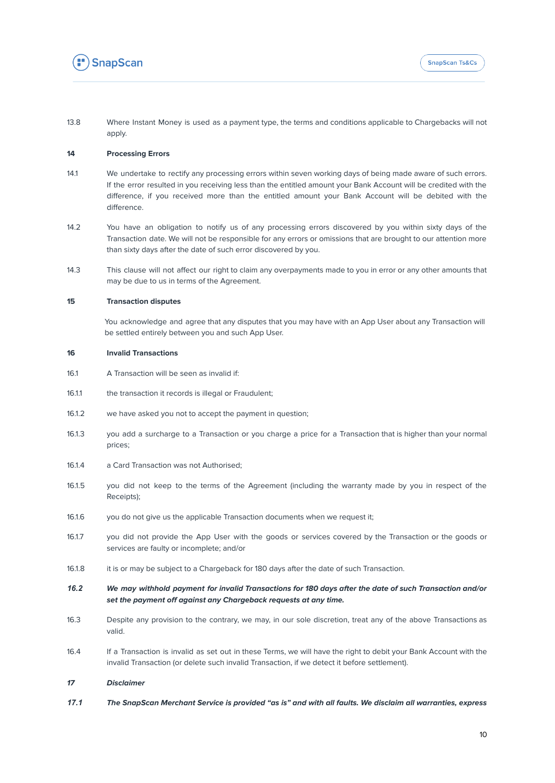

13.8 Where Instant Money is used as a payment type, the terms and conditions applicable to Chargebacks will not apply.

### **14 Processing Errors**

- 14.1 We undertake to rectify any processing errors within seven working days of being made aware of such errors. If the error resulted in you receiving less than the entitled amount your Bank Account will be credited with the difference, if you received more than the entitled amount your Bank Account will be debited with the difference.
- 14.2 You have an obligation to notify us of any processing errors discovered by you within sixty days of the Transaction date. We will not be responsible for any errors or omissions that are brought to our attention more than sixty days after the date of such error discovered by you.
- 14.3 This clause will not affect our right to claim any overpayments made to you in error or any other amounts that may be due to us in terms of the Agreement.

### **15 Transaction disputes**

You acknowledge and agree that any disputes that you may have with an App User about any Transaction will be settled entirely between you and such App User.

### **16 Invalid Transactions**

- 16.1 A Transaction will be seen as invalid if:
- 16.1.1 the transaction it records is illegal or Fraudulent;
- 16.1.2 we have asked you not to accept the payment in question;
- 16.1.3 you add a surcharge to a Transaction or you charge a price for a Transaction that is higher than your normal prices;
- 16.1.4 a Card Transaction was not Authorised;
- 16.1.5 you did not keep to the terms of the Agreement (including the warranty made by you in respect of the Receipts);
- 16.1.6 you do not give us the applicable Transaction documents when we request it;
- 16.1.7 you did not provide the App User with the goods or services covered by the Transaction or the goods or services are faulty or incomplete; and/or
- 16.1.8 it is or may be subject to a Chargeback for 180 days after the date of such Transaction.
- 16.2 We may withhold payment for invalid Transactions for 180 days after the date of such Transaction and/or **set the payment off against any Chargeback requests at any time.**
- 16.3 Despite any provision to the contrary, we may, in our sole discretion, treat any of the above Transactions as valid.
- 16.4 If a Transaction is invalid as set out in these Terms, we will have the right to debit your Bank Account with the invalid Transaction (or delete such invalid Transaction, if we detect it before settlement).

### **17 Disclaimer**

17.1 The SnapScan Merchant Service is provided "as is" and with all faults. We disclaim all warranties, express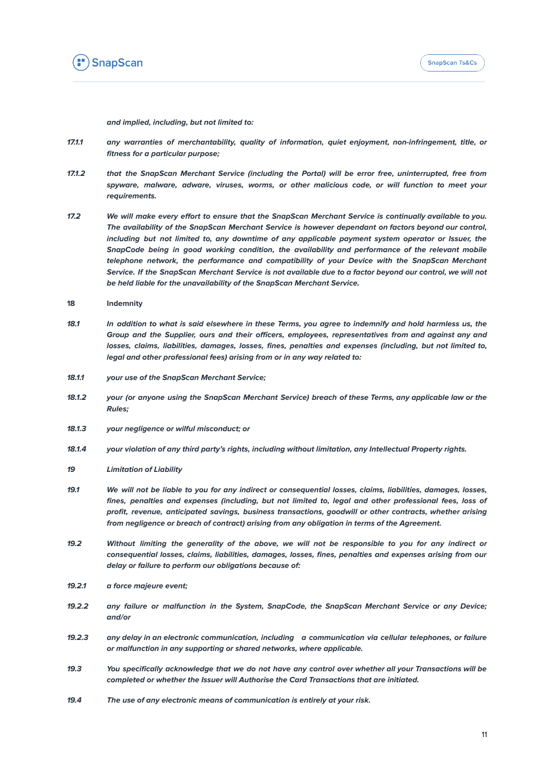

**and implied, including, but not limited to:**

- **17.1.1 any warranties of merchantability, quality of information, quiet enjoyment, non-infringement, title, or fitness for a particular purpose;**
- **17.1.2 that the SnapScan Merchant Service (including the Portal) will be error free, uninterrupted, free from spyware, malware, adware, viruses, worms, or other malicious code, or will function to meet your requirements.**
- 17.2 We will make every effort to ensure that the SnapScan Merchant Service is continually available to you. **The availability of the SnapScan Merchant Service is however dependant on factors beyond our control, including but not limited to, any downtime of any applicable payment system operator or Issuer, the SnapCode being in good working condition, the availability and performance of the relevant mobile telephone network, the performance and compatibility of your Device with the SnapScan Merchant** Service. If the SnapScan Merchant Service is not available due to a factor beyond our control, we will not **be held liable for the unavailability of the SnapScan Merchant Service.**
- **18 Indemnity**
- 18.1 In addition to what is said elsewhere in these Terms, you agree to indemnify and hold harmless us, the **Group and the Supplier, ours and their officers, employees, representatives from and against any and losses, claims, liabilities, damages, losses, fines, penalties and expenses (including, but not limited to, legal and other professional fees) arising from or in any way related to:**
- **18.1.1 your use of the SnapScan Merchant Service;**
- 18.1.2 your (or anyone using the SnapScan Merchant Service) breach of these Terms, any applicable law or the **Rules;**
- **18.1.3 your negligence or wilful misconduct; or**
- **18.1.4 your violation of any third party's rights, including without limitation, any Intellectual Property rights.**
- **19 Limitation of Liability**
- 19.1 We will not be liable to you for any indirect or consequential losses, claims, liabilities, damages, losses, **fines, penalties and expenses (including, but not limited to, legal and other professional fees, loss of profit, revenue, anticipated savings, business transactions, goodwill or other contracts, whether arising from negligence or breach of contract) arising from any obligation in terms of the Agreement.**
- 19.2 Without limiting the generality of the above, we will not be responsible to you for any indirect or **consequential losses, claims, liabilities, damages, losses, fines, penalties and expenses arising from our delay or failure to perform our obligations because of:**
- **19.2.1 a force majeure event;**
- **19.2.2 any failure or malfunction in the System, SnapCode, the SnapScan Merchant Service or any Device; and/or**
- **19.2.3 any delay in an electronic communication, including a communication via cellular telephones, or failure or malfunction in any supporting or shared networks, where applicable.**
- 19.3 You specifically acknowledge that we do not have any control over whether all your Transactions will be **completed or whether the Issuer will Authorise the Card Transactions that are initiated.**
- **19.4 The use of any electronic means of communication is entirely at your risk.**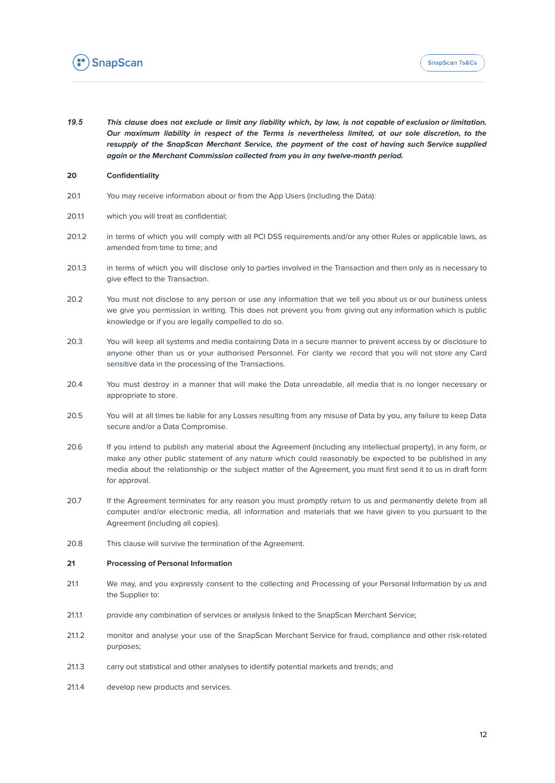

19.5 This clause does not exclude or limit any liability which, by law, is not capable of exclusion or limitation. **Our maximum liability in respect of the Terms is nevertheless limited, at our sole discretion, to the resupply of the SnapScan Merchant Service, the payment of the cost of having such Service supplied again or the Merchant Commission collected from you in any twelve-month period.**

### **20 Confidentiality**

- 20.1 You may receive information about or from the App Users (including the Data):
- 20.1.1 which you will treat as confidential;
- 20.1.2 in terms of which you will comply with all PCI DSS requirements and/or any other Rules or applicable laws, as amended from time to time; and
- 20.1.3 in terms of which you will disclose only to parties involved in the Transaction and then only as is necessary to give effect to the Transaction.
- 20.2 You must not disclose to any person or use any information that we tell you about us or our business unless we give you permission in writing. This does not prevent you from giving out any information which is public knowledge or if you are legally compelled to do so.
- 20.3 You will keep all systems and media containing Data in a secure manner to prevent access by or disclosure to anyone other than us or your authorised Personnel. For clarity we record that you will not store any Card sensitive data in the processing of the Transactions.
- 20.4 You must destroy in a manner that will make the Data unreadable, all media that is no longer necessary or appropriate to store.
- 20.5 You will at all times be liable for any Losses resulting from any misuse of Data by you, any failure to keep Data secure and/or a Data Compromise.
- 20.6 If you intend to publish any material about the Agreement (including any intellectual property), in any form, or make any other public statement of any nature which could reasonably be expected to be published in any media about the relationship or the subject matter of the Agreement, you must first send it to us in draft form for approval.
- 20.7 If the Agreement terminates for any reason you must promptly return to us and permanently delete from all computer and/or electronic media, all information and materials that we have given to you pursuant to the Agreement (including all copies).
- 20.8 This clause will survive the termination of the Agreement.

### **21 Processing of Personal Information**

- 21.1 We may, and you expressly consent to the collecting and Processing of your Personal Information by us and the Supplier to:
- 21.1.1 provide any combination of services or analysis linked to the SnapScan Merchant Service;
- 21.1.2 monitor and analyse your use of the SnapScan Merchant Service for fraud, compliance and other risk-related purposes;
- 21.1.3 carry out statistical and other analyses to identify potential markets and trends; and
- 21.1.4 develop new products and services.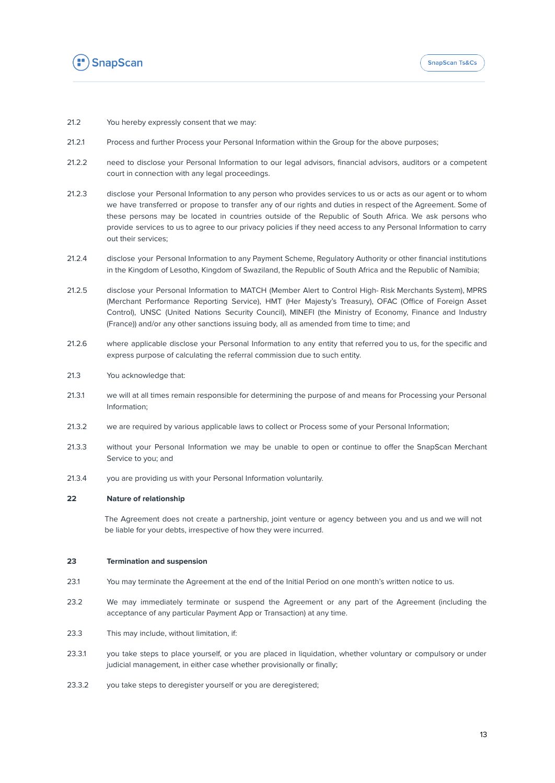

- 21.2 You hereby expressly consent that we may:
- 21.2.1 Process and further Process your Personal Information within the Group for the above purposes;
- 21.2.2 need to disclose your Personal Information to our legal advisors, financial advisors, auditors or a competent court in connection with any legal proceedings.
- 21.2.3 disclose your Personal Information to any person who provides services to us or acts as our agent or to whom we have transferred or propose to transfer any of our rights and duties in respect of the Agreement. Some of these persons may be located in countries outside of the Republic of South Africa. We ask persons who provide services to us to agree to our privacy policies if they need access to any Personal Information to carry out their services;
- 21.2.4 disclose your Personal Information to any Payment Scheme, Regulatory Authority or other financial institutions in the Kingdom of Lesotho, Kingdom of Swaziland, the Republic of South Africa and the Republic of Namibia;
- 21.2.5 disclose your Personal Information to MATCH (Member Alert to Control High- Risk Merchants System), MPRS (Merchant Performance Reporting Service), HMT (Her Majesty's Treasury), OFAC (Office of Foreign Asset Control), UNSC (United Nations Security Council), MINEFI (the Ministry of Economy, Finance and Industry (France)) and/or any other sanctions issuing body, all as amended from time to time; and
- 21.2.6 where applicable disclose your Personal Information to any entity that referred you to us, for the specific and express purpose of calculating the referral commission due to such entity.
- 21.3 You acknowledge that:
- 21.3.1 we will at all times remain responsible for determining the purpose of and means for Processing your Personal Information;
- 21.3.2 we are required by various applicable laws to collect or Process some of your Personal Information;
- 21.3.3 without your Personal Information we may be unable to open or continue to offer the SnapScan Merchant Service to you; and
- 21.3.4 you are providing us with your Personal Information voluntarily.

### **22 Nature of relationship**

The Agreement does not create a partnership, joint venture or agency between you and us and we will not be liable for your debts, irrespective of how they were incurred.

### **23 Termination and suspension**

- 23.1 You may terminate the Agreement at the end of the Initial Period on one month's written notice to us.
- 23.2 We may immediately terminate or suspend the Agreement or any part of the Agreement (including the acceptance of any particular Payment App or Transaction) at any time.
- 23.3 This may include, without limitation, if:
- 23.3.1 you take steps to place yourself, or you are placed in liquidation, whether voluntary or compulsory or under judicial management, in either case whether provisionally or finally;
- 23.3.2 you take steps to deregister yourself or you are deregistered;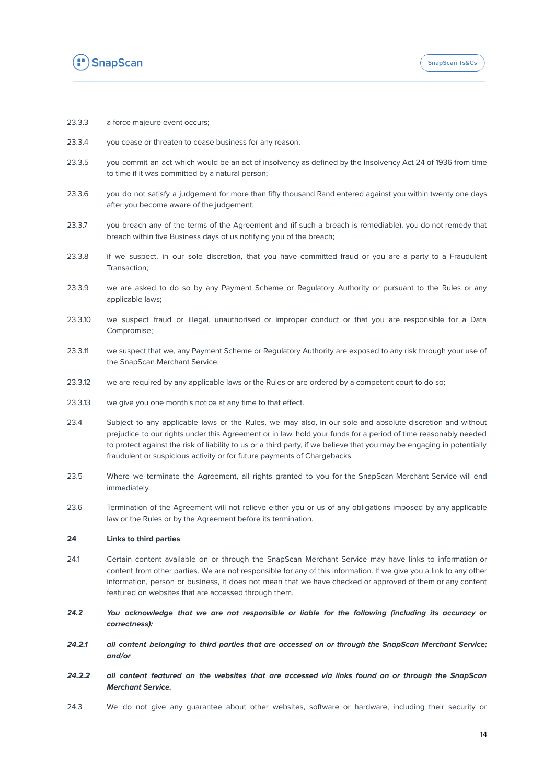

- 23.3.3 a force majeure event occurs;
- 23.3.4 you cease or threaten to cease business for any reason;
- 23.3.5 you commit an act which would be an act of insolvency as defined by the Insolvency Act 24 of 1936 from time to time if it was committed by a natural person;
- 23.3.6 you do not satisfy a judgement for more than fifty thousand Rand entered against you within twenty one days after you become aware of the judgement;
- 23.3.7 you breach any of the terms of the Agreement and (if such a breach is remediable), you do not remedy that breach within five Business days of us notifying you of the breach;
- 23.3.8 if we suspect, in our sole discretion, that you have committed fraud or you are a party to a Fraudulent Transaction;
- 23.3.9 we are asked to do so by any Payment Scheme or Regulatory Authority or pursuant to the Rules or any applicable laws;
- 23.3.10 we suspect fraud or illegal, unauthorised or improper conduct or that you are responsible for a Data Compromise;
- 23.3.11 we suspect that we, any Payment Scheme or Regulatory Authority are exposed to any risk through your use of the SnapScan Merchant Service;
- 23.3.12 we are required by any applicable laws or the Rules or are ordered by a competent court to do so;
- 23.3.13 we give you one month's notice at any time to that effect.
- 23.4 Subject to any applicable laws or the Rules, we may also, in our sole and absolute discretion and without prejudice to our rights under this Agreement or in law, hold your funds for a period of time reasonably needed to protect against the risk of liability to us or a third party, if we believe that you may be engaging in potentially fraudulent or suspicious activity or for future payments of Chargebacks.
- 23.5 Where we terminate the Agreement, all rights granted to you for the SnapScan Merchant Service will end immediately.
- 23.6 Termination of the Agreement will not relieve either you or us of any obligations imposed by any applicable law or the Rules or by the Agreement before its termination.

### **24 Links to third parties**

- 24.1 Certain content available on or through the SnapScan Merchant Service may have links to information or content from other parties. We are not responsible for any of this information. If we give you a link to any other information, person or business, it does not mean that we have checked or approved of them or any content featured on websites that are accessed through them.
- *24.2* **You acknowledge that we are not responsible or liable for the following (including its accuracy or correctness):**
- 24.2.1 all content belonging to third parties that are accessed on or through the SnapScan Merchant Service; **and/or**
- 24.2.2 all content featured on the websites that are accessed via links found on or through the SnapScan **Merchant Service.**
- 24.3 We do not give any guarantee about other websites, software or hardware, including their security or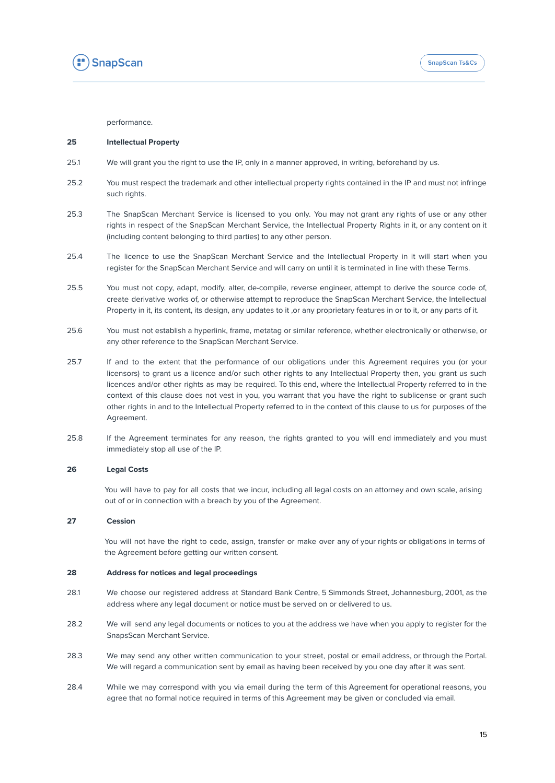

performance.

### **25 Intellectual Property**

- 25.1 We will grant you the right to use the IP, only in a manner approved, in writing, beforehand by us.
- 25.2 You must respect the trademark and other intellectual property rights contained in the IP and must not infringe such rights.
- 25.3 The SnapScan Merchant Service is licensed to you only. You may not grant any rights of use or any other rights in respect of the SnapScan Merchant Service, the Intellectual Property Rights in it, or any content on it (including content belonging to third parties) to any other person.
- 25.4 The licence to use the SnapScan Merchant Service and the Intellectual Property in it will start when you register for the SnapScan Merchant Service and will carry on until it is terminated in line with these Terms.
- 25.5 You must not copy, adapt, modify, alter, de-compile, reverse engineer, attempt to derive the source code of, create derivative works of, or otherwise attempt to reproduce the SnapScan Merchant Service, the Intellectual Property in it, its content, its design, any updates to it ,or any proprietary features in or to it, or any parts of it.
- 25.6 You must not establish a hyperlink, frame, metatag or similar reference, whether electronically or otherwise, or any other reference to the SnapScan Merchant Service.
- 25.7 If and to the extent that the performance of our obligations under this Agreement requires you (or your licensors) to grant us a licence and/or such other rights to any Intellectual Property then, you grant us such licences and/or other rights as may be required. To this end, where the Intellectual Property referred to in the context of this clause does not vest in you, you warrant that you have the right to sublicense or grant such other rights in and to the Intellectual Property referred to in the context of this clause to us for purposes of the Agreement.
- 25.8 If the Agreement terminates for any reason, the rights granted to you will end immediately and you must immediately stop all use of the IP.

### **26 Legal Costs**

You will have to pay for all costs that we incur, including all legal costs on an attorney and own scale, arising out of or in connection with a breach by you of the Agreement.

### **27 Cession**

You will not have the right to cede, assign, transfer or make over any of your rights or obligations in terms of the Agreement before getting our written consent.

### **28 Address for notices and legal proceedings**

- 28.1 We choose our registered address at Standard Bank Centre, 5 Simmonds Street, Johannesburg, 2001, as the address where any legal document or notice must be served on or delivered to us.
- 28.2 We will send any legal documents or notices to you at the address we have when you apply to register for the SnapsScan Merchant Service.
- 28.3 We may send any other written communication to your street, postal or email address, or through the Portal. We will regard a communication sent by email as having been received by you one day after it was sent.
- 28.4 While we may correspond with you via email during the term of this Agreement for operational reasons, you agree that no formal notice required in terms of this Agreement may be given or concluded via email.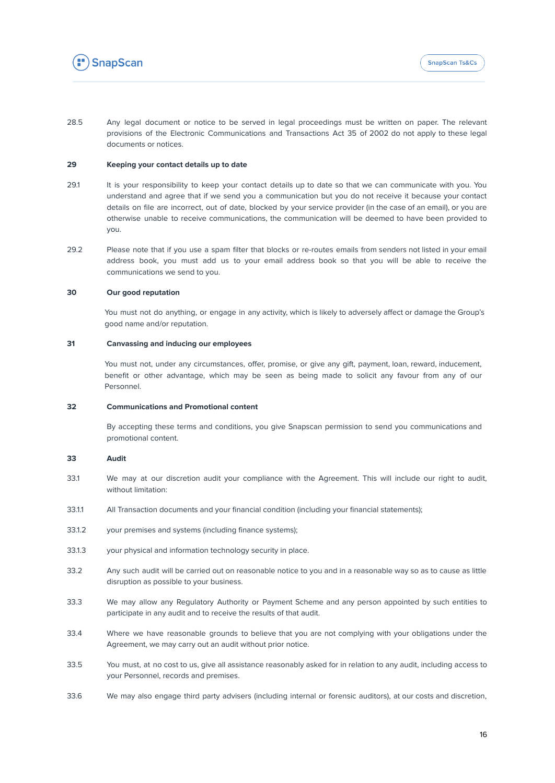

28.5 Any legal document or notice to be served in legal proceedings must be written on paper. The relevant provisions of the Electronic Communications and Transactions Act 35 of 2002 do not apply to these legal documents or notices.

### **29 Keeping your contact details up to date**

- 29.1 It is your responsibility to keep your contact details up to date so that we can communicate with you. You understand and agree that if we send you a communication but you do not receive it because your contact details on file are incorrect, out of date, blocked by your service provider (in the case of an email), or you are otherwise unable to receive communications, the communication will be deemed to have been provided to you.
- 29.2 Please note that if you use a spam filter that blocks or re-routes emails from senders not listed in your email address book, you must add us to your email address book so that you will be able to receive the communications we send to you.

### **30 Our good reputation**

You must not do anything, or engage in any activity, which is likely to adversely affect or damage the Group's good name and/or reputation.

### **31 Canvassing and inducing our employees**

You must not, under any circumstances, offer, promise, or give any gift, payment, loan, reward, inducement, benefit or other advantage, which may be seen as being made to solicit any favour from any of our Personnel.

### **32 Communications and Promotional content**

By accepting these terms and conditions, you give Snapscan permission to send you communications and promotional content.

#### **33 Audit**

- 33.1 We may at our discretion audit your compliance with the Agreement. This will include our right to audit, without limitation:
- 33.1.1 All Transaction documents and your financial condition (including your financial statements);
- 33.1.2 your premises and systems (including finance systems);
- 33.1.3 your physical and information technology security in place.
- 33.2 Any such audit will be carried out on reasonable notice to you and in a reasonable way so as to cause as little disruption as possible to your business.
- 33.3 We may allow any Regulatory Authority or Payment Scheme and any person appointed by such entities to participate in any audit and to receive the results of that audit.
- 33.4 Where we have reasonable grounds to believe that you are not complying with your obligations under the Agreement, we may carry out an audit without prior notice.
- 33.5 You must, at no cost to us, give all assistance reasonably asked for in relation to any audit, including access to your Personnel, records and premises.
- 33.6 We may also engage third party advisers (including internal or forensic auditors), at our costs and discretion,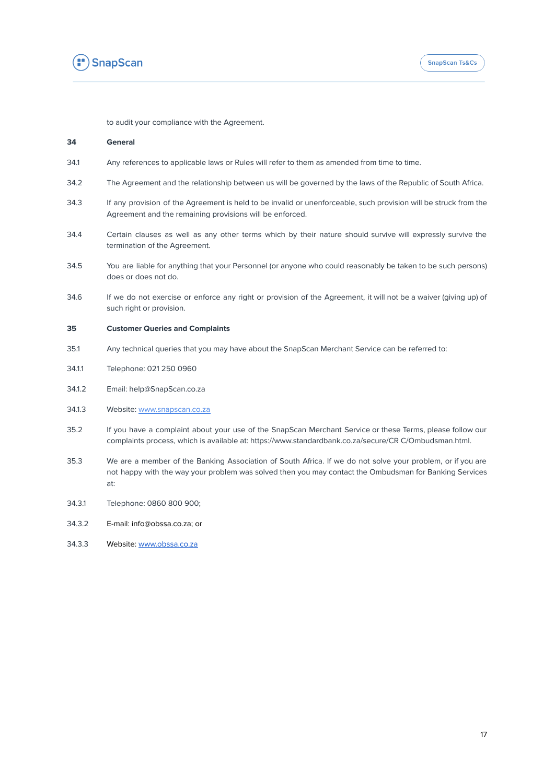

to audit your compliance with the Agreement.

### **34 General**

- 34.1 Any references to applicable laws or Rules will refer to them as amended from time to time.
- 34.2 The Agreement and the relationship between us will be governed by the laws of the Republic of South Africa.
- 34.3 If any provision of the Agreement is held to be invalid or unenforceable, such provision will be struck from the Agreement and the remaining provisions will be enforced.
- 34.4 Certain clauses as well as any other terms which by their nature should survive will expressly survive the termination of the Agreement.
- 34.5 You are liable for anything that your Personnel (or anyone who could reasonably be taken to be such persons) does or does not do.
- 34.6 If we do not exercise or enforce any right or provision of the Agreement, it will not be a waiver (giving up) of such right or provision.

#### **35 Customer Queries and Complaints**

- 35.1 Any technical queries that you may have about the SnapScan Merchant Service can be referred to:
- 34.1.1 Telephone: 021 250 0960
- 34.1.2 Email: [help@SnapScan.co.za](mailto:help@SnapScan.co.za)
- 34.1.3 Website: [www.snapscan.co.za](https://www.snapscan.co.za)
- 35.2 If you have a complaint about your use of the SnapScan Merchant Service or these Terms, please follow our complaints process, which is available at: https[://www.standardbank.co.za/secure/CR](http://www.standardbank.co.za/secure/CR) C/Ombudsman.html.
- 35.3 We are a member of the Banking Association of South Africa. If we do not solve your problem, or if you are not happy with the way your problem was solved then you may contact the Ombudsman for Banking Services at:
- 34.3.1 Telephone: 0860 800 900;
- 34.3.2 E-mail: info@obssa.co.za; or
- 34.3.3 Website: [www.obssa.co.za](http://www.obssa.co.za)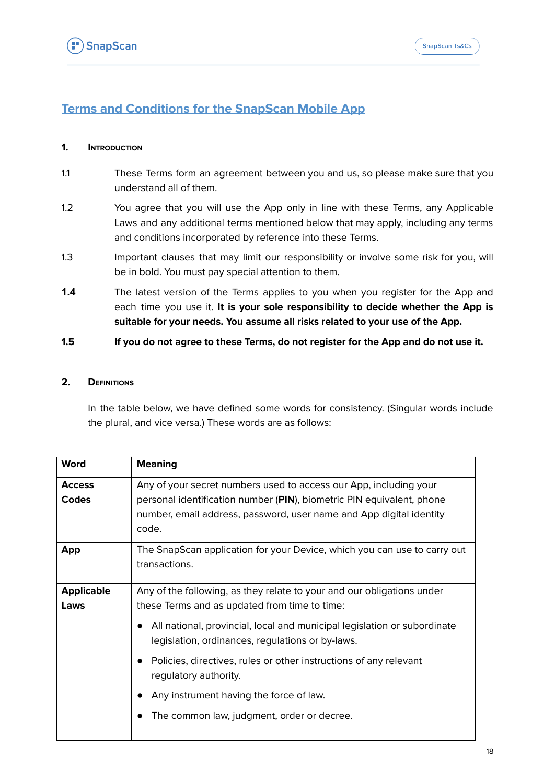# <span id="page-17-0"></span>**Terms and Conditions for the SnapScan Mobile App**

## **1. INTRODUCTION**

- 1.1 These Terms form an agreement between you and us, so please make sure that you understand all of them.
- 1.2 You agree that you will use the App only in line with these Terms, any Applicable Laws and any additional terms mentioned below that may apply, including any terms and conditions incorporated by reference into these Terms.
- 1.3 Important clauses that may limit our responsibility or involve some risk for you, will be in bold. You must pay special attention to them.
- **1.4** The latest version of the Terms applies to you when you register for the App and each time you use it. **It is your sole responsibility to decide whether the App is suitable for your needs. You assume all risks related to your use of the App.**

## 1.5 If you do not agree to these Terms, do not register for the App and do not use it.

## **2. DEFINITIONS**

In the table below, we have defined some words for consistency. (Singular words include the plural, and vice versa.) These words are as follows:

| <b>Word</b>                   | <b>Meaning</b>                                                                                                                                                                                                                                                                                                                                                                                   |
|-------------------------------|--------------------------------------------------------------------------------------------------------------------------------------------------------------------------------------------------------------------------------------------------------------------------------------------------------------------------------------------------------------------------------------------------|
| <b>Access</b><br><b>Codes</b> | Any of your secret numbers used to access our App, including your<br>personal identification number (PIN), biometric PIN equivalent, phone<br>number, email address, password, user name and App digital identity<br>code.                                                                                                                                                                       |
| <b>App</b>                    | The SnapScan application for your Device, which you can use to carry out<br>transactions.                                                                                                                                                                                                                                                                                                        |
| <b>Applicable</b><br>Laws     | Any of the following, as they relate to your and our obligations under<br>these Terms and as updated from time to time:<br>All national, provincial, local and municipal legislation or subordinate<br>legislation, ordinances, regulations or by-laws.<br>Policies, directives, rules or other instructions of any relevant<br>regulatory authority.<br>Any instrument having the force of law. |
|                               | The common law, judgment, order or decree.                                                                                                                                                                                                                                                                                                                                                       |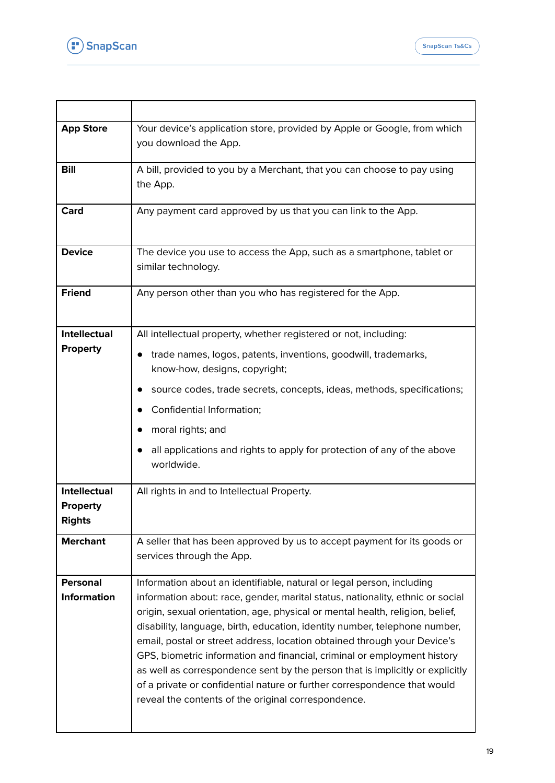



| <b>App Store</b>                      | Your device's application store, provided by Apple or Google, from which<br>you download the App.                                                                                                                                                                                                                                                                                                                                                                                                                                                                                                                                                                                                  |
|---------------------------------------|----------------------------------------------------------------------------------------------------------------------------------------------------------------------------------------------------------------------------------------------------------------------------------------------------------------------------------------------------------------------------------------------------------------------------------------------------------------------------------------------------------------------------------------------------------------------------------------------------------------------------------------------------------------------------------------------------|
| <b>Bill</b>                           | A bill, provided to you by a Merchant, that you can choose to pay using<br>the App.                                                                                                                                                                                                                                                                                                                                                                                                                                                                                                                                                                                                                |
| Card                                  | Any payment card approved by us that you can link to the App.                                                                                                                                                                                                                                                                                                                                                                                                                                                                                                                                                                                                                                      |
| <b>Device</b>                         | The device you use to access the App, such as a smartphone, tablet or<br>similar technology.                                                                                                                                                                                                                                                                                                                                                                                                                                                                                                                                                                                                       |
| <b>Friend</b>                         | Any person other than you who has registered for the App.                                                                                                                                                                                                                                                                                                                                                                                                                                                                                                                                                                                                                                          |
| <b>Intellectual</b>                   | All intellectual property, whether registered or not, including:                                                                                                                                                                                                                                                                                                                                                                                                                                                                                                                                                                                                                                   |
| <b>Property</b>                       | trade names, logos, patents, inventions, goodwill, trademarks,<br>know-how, designs, copyright;                                                                                                                                                                                                                                                                                                                                                                                                                                                                                                                                                                                                    |
|                                       | source codes, trade secrets, concepts, ideas, methods, specifications;                                                                                                                                                                                                                                                                                                                                                                                                                                                                                                                                                                                                                             |
|                                       | Confidential Information;                                                                                                                                                                                                                                                                                                                                                                                                                                                                                                                                                                                                                                                                          |
|                                       | moral rights; and                                                                                                                                                                                                                                                                                                                                                                                                                                                                                                                                                                                                                                                                                  |
|                                       | all applications and rights to apply for protection of any of the above<br>worldwide.                                                                                                                                                                                                                                                                                                                                                                                                                                                                                                                                                                                                              |
| Intellectual                          | All rights in and to Intellectual Property.                                                                                                                                                                                                                                                                                                                                                                                                                                                                                                                                                                                                                                                        |
| <b>Property</b><br><b>Rights</b>      |                                                                                                                                                                                                                                                                                                                                                                                                                                                                                                                                                                                                                                                                                                    |
| <b>Merchant</b>                       | A seller that has been approved by us to accept payment for its goods or<br>services through the App.                                                                                                                                                                                                                                                                                                                                                                                                                                                                                                                                                                                              |
| <b>Personal</b><br><b>Information</b> | Information about an identifiable, natural or legal person, including<br>information about: race, gender, marital status, nationality, ethnic or social<br>origin, sexual orientation, age, physical or mental health, religion, belief,<br>disability, language, birth, education, identity number, telephone number,<br>email, postal or street address, location obtained through your Device's<br>GPS, biometric information and financial, criminal or employment history<br>as well as correspondence sent by the person that is implicitly or explicitly<br>of a private or confidential nature or further correspondence that would<br>reveal the contents of the original correspondence. |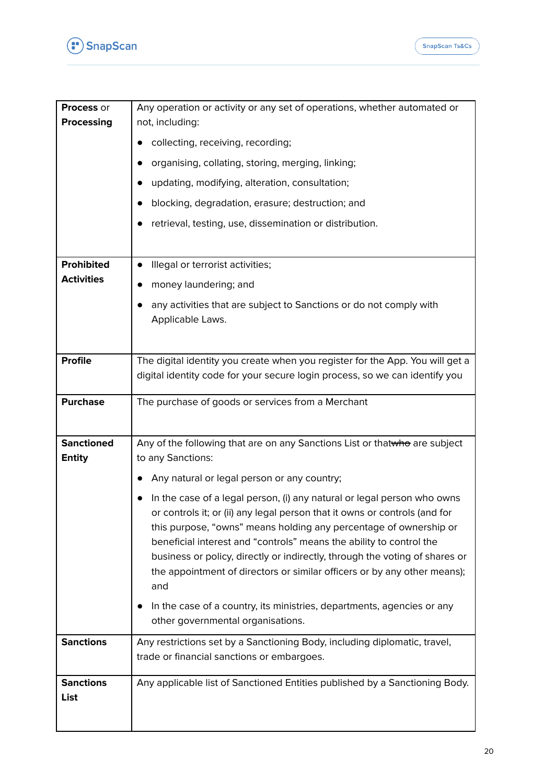

| <b>Process or</b><br><b>Processing</b> | Any operation or activity or any set of operations, whether automated or<br>not, including:                                                                                                                                                                                                                                                                                                                                                                         |
|----------------------------------------|---------------------------------------------------------------------------------------------------------------------------------------------------------------------------------------------------------------------------------------------------------------------------------------------------------------------------------------------------------------------------------------------------------------------------------------------------------------------|
|                                        | collecting, receiving, recording;                                                                                                                                                                                                                                                                                                                                                                                                                                   |
|                                        | organising, collating, storing, merging, linking;                                                                                                                                                                                                                                                                                                                                                                                                                   |
|                                        | updating, modifying, alteration, consultation;                                                                                                                                                                                                                                                                                                                                                                                                                      |
|                                        | blocking, degradation, erasure; destruction; and                                                                                                                                                                                                                                                                                                                                                                                                                    |
|                                        | retrieval, testing, use, dissemination or distribution.                                                                                                                                                                                                                                                                                                                                                                                                             |
|                                        |                                                                                                                                                                                                                                                                                                                                                                                                                                                                     |
| <b>Prohibited</b>                      | Illegal or terrorist activities;                                                                                                                                                                                                                                                                                                                                                                                                                                    |
| <b>Activities</b>                      | money laundering; and                                                                                                                                                                                                                                                                                                                                                                                                                                               |
|                                        | any activities that are subject to Sanctions or do not comply with<br>Applicable Laws.                                                                                                                                                                                                                                                                                                                                                                              |
|                                        |                                                                                                                                                                                                                                                                                                                                                                                                                                                                     |
| <b>Profile</b>                         | The digital identity you create when you register for the App. You will get a                                                                                                                                                                                                                                                                                                                                                                                       |
|                                        | digital identity code for your secure login process, so we can identify you                                                                                                                                                                                                                                                                                                                                                                                         |
| <b>Purchase</b>                        | The purchase of goods or services from a Merchant                                                                                                                                                                                                                                                                                                                                                                                                                   |
|                                        |                                                                                                                                                                                                                                                                                                                                                                                                                                                                     |
| <b>Sanctioned</b><br><b>Entity</b>     | Any of the following that are on any Sanctions List or thatwho are subject<br>to any Sanctions:                                                                                                                                                                                                                                                                                                                                                                     |
|                                        | Any natural or legal person or any country;                                                                                                                                                                                                                                                                                                                                                                                                                         |
|                                        | In the case of a legal person, (i) any natural or legal person who owns<br>or controls it; or (ii) any legal person that it owns or controls (and for<br>this purpose, "owns" means holding any percentage of ownership or<br>beneficial interest and "controls" means the ability to control the<br>business or policy, directly or indirectly, through the voting of shares or<br>the appointment of directors or similar officers or by any other means);<br>and |
|                                        | In the case of a country, its ministries, departments, agencies or any<br>other governmental organisations.                                                                                                                                                                                                                                                                                                                                                         |
| <b>Sanctions</b>                       | Any restrictions set by a Sanctioning Body, including diplomatic, travel,<br>trade or financial sanctions or embargoes.                                                                                                                                                                                                                                                                                                                                             |
| <b>Sanctions</b><br>List               | Any applicable list of Sanctioned Entities published by a Sanctioning Body.                                                                                                                                                                                                                                                                                                                                                                                         |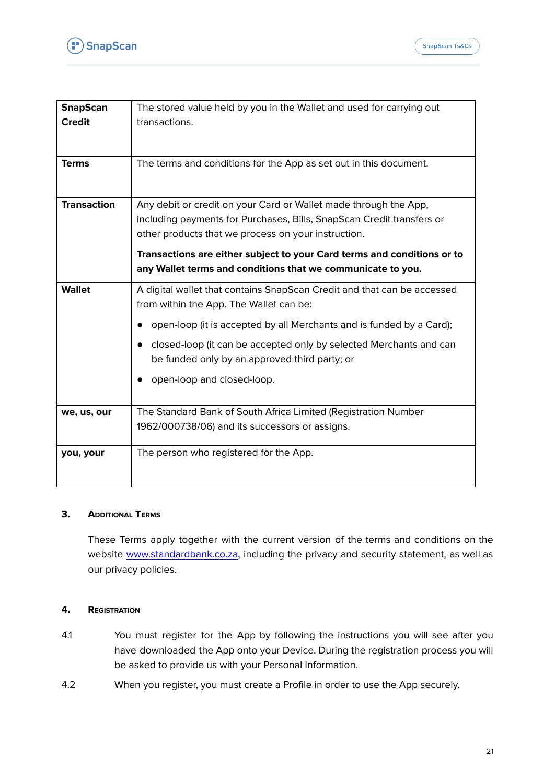

| <b>SnapScan</b>    | The stored value held by you in the Wallet and used for carrying out                                                                                                                             |
|--------------------|--------------------------------------------------------------------------------------------------------------------------------------------------------------------------------------------------|
| <b>Credit</b>      | transactions.                                                                                                                                                                                    |
|                    |                                                                                                                                                                                                  |
| <b>Terms</b>       | The terms and conditions for the App as set out in this document.                                                                                                                                |
|                    |                                                                                                                                                                                                  |
| <b>Transaction</b> | Any debit or credit on your Card or Wallet made through the App,<br>including payments for Purchases, Bills, SnapScan Credit transfers or<br>other products that we process on your instruction. |
|                    | Transactions are either subject to your Card terms and conditions or to<br>any Wallet terms and conditions that we communicate to you.                                                           |
| <b>Wallet</b>      | A digital wallet that contains SnapScan Credit and that can be accessed<br>from within the App. The Wallet can be:                                                                               |
|                    | open-loop (it is accepted by all Merchants and is funded by a Card);                                                                                                                             |
|                    | closed-loop (it can be accepted only by selected Merchants and can<br>be funded only by an approved third party; or                                                                              |
|                    | open-loop and closed-loop.                                                                                                                                                                       |
| we, us, our        | The Standard Bank of South Africa Limited (Registration Number                                                                                                                                   |
|                    | 1962/000738/06) and its successors or assigns.                                                                                                                                                   |
| you, your          | The person who registered for the App.                                                                                                                                                           |
|                    |                                                                                                                                                                                                  |

## **3. ADDITIONAL TERMS**

These Terms apply together with the current version of the terms and conditions on the website [www.standardbank.co.za,](http://www.standardbank.co.za) including the privacy and security statement, as well as our privacy policies.

# **4. REGISTRATION**

- 4.1 You must register for the App by following the instructions you will see after you have downloaded the App onto your Device. During the registration process you will be asked to provide us with your Personal Information.
- 4.2 When you register, you must create a Profile in order to use the App securely.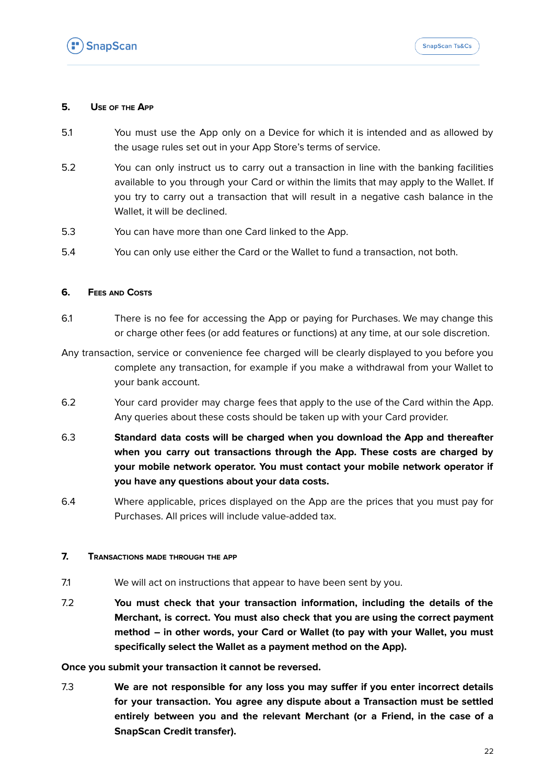

## **5. USE OF THE APP**

- 5.1 You must use the App only on a Device for which it is intended and as allowed by the usage rules set out in your App Store's terms of service.
- 5.2 You can only instruct us to carry out a transaction in line with the banking facilities available to you through your Card or within the limits that may apply to the Wallet. If you try to carry out a transaction that will result in a negative cash balance in the Wallet, it will be declined.
- 5.3 You can have more than one Card linked to the App.
- 5.4 You can only use either the Card or the Wallet to fund a transaction, not both.

## **6. FEES AND COSTS**

- 6.1 There is no fee for accessing the App or paying for Purchases. We may change this or charge other fees (or add features or functions) at any time, at our sole discretion.
- Any transaction, service or convenience fee charged will be clearly displayed to you before you complete any transaction, for example if you make a withdrawal from your Wallet to your bank account.
- 6.2 Your card provider may charge fees that apply to the use of the Card within the App. Any queries about these costs should be taken up with your Card provider.
- 6.3 **Standard data costs will be charged when you download the App and thereafter when you carry out transactions through the App. These costs are charged by your mobile network operator. You must contact your mobile network operator if you have any questions about your data costs.**
- 6.4 Where applicable, prices displayed on the App are the prices that you must pay for Purchases. All prices will include value-added tax.

## **7. TRANSACTIONS MADE THROUGH THE APP**

- 7.1 We will act on instructions that appear to have been sent by you.
- 7.2 **You must check that your transaction information, including the details of the Merchant, is correct. You must also check that you are using the correct payment method – in other words, your Card or Wallet (to pay with your Wallet, you must specifically select the Wallet as a payment method on the App).**

**Once you submit your transaction it cannot be reversed.**

7.3 **We are not responsible for any loss you may suffer if you enter incorrect details for your transaction. You agree any dispute about a Transaction must be settled entirely between you and the relevant Merchant (or a Friend, in the case of a SnapScan Credit transfer).**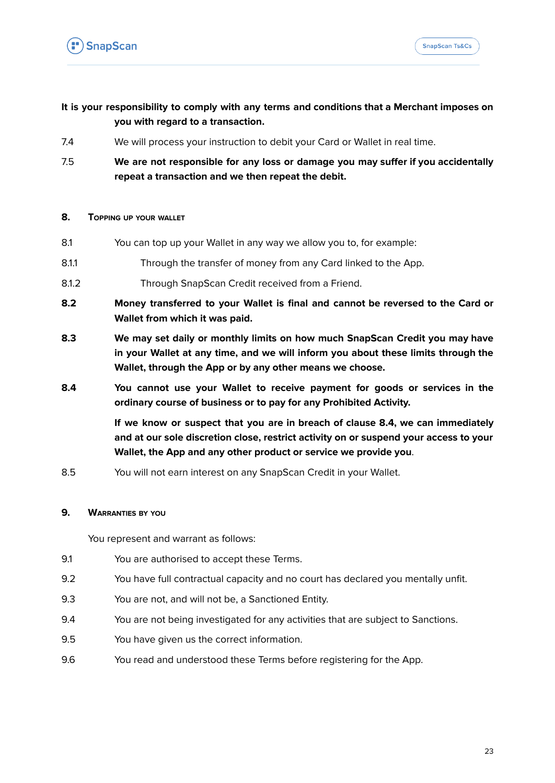

# **It is your responsibility to comply with any terms and conditions that a Merchant imposes on you with regard to a transaction.**

- 7.4 We will process your instruction to debit your Card or Wallet in real time.
- 7.5 **We are not responsible for any loss or damage you may suffer if you accidentally repeat a transaction and we then repeat the debit.**

## **8. TOPPING UP YOUR WALLET**

- 8.1 You can top up your Wallet in any way we allow you to, for example:
- 8.1.1 Through the transfer of money from any Card linked to the App.
- 8.1.2 Through SnapScan Credit received from a Friend.
- **8.2 Money transferred to your Wallet is final and cannot be reversed to the Card or Wallet from which it was paid.**
- **8.3 We may set daily or monthly limits on how much SnapScan Credit you may have in your Wallet at any time, and we will inform you about these limits through the Wallet, through the App or by any other means we choose.**
- **8.4 You cannot use your Wallet to receive payment for goods or services in the ordinary course of business or to pay for any Prohibited Activity.**

**If we know or suspect that you are in breach of clause 8.4, we can immediately and at our sole discretion close, restrict activity on or suspend your access to your Wallet, the App and any other product or service we provide you**.

8.5 You will not earn interest on any SnapScan Credit in your Wallet.

## **9. WARRANTIES BY YOU**

You represent and warrant as follows:

- 9.1 You are authorised to accept these Terms.
- 9.2 You have full contractual capacity and no court has declared you mentally unfit.
- 9.3 You are not, and will not be, a Sanctioned Entity.
- 9.4 You are not being investigated for any activities that are subject to Sanctions.
- 9.5 You have given us the correct information.
- 9.6 You read and understood these Terms before registering for the App.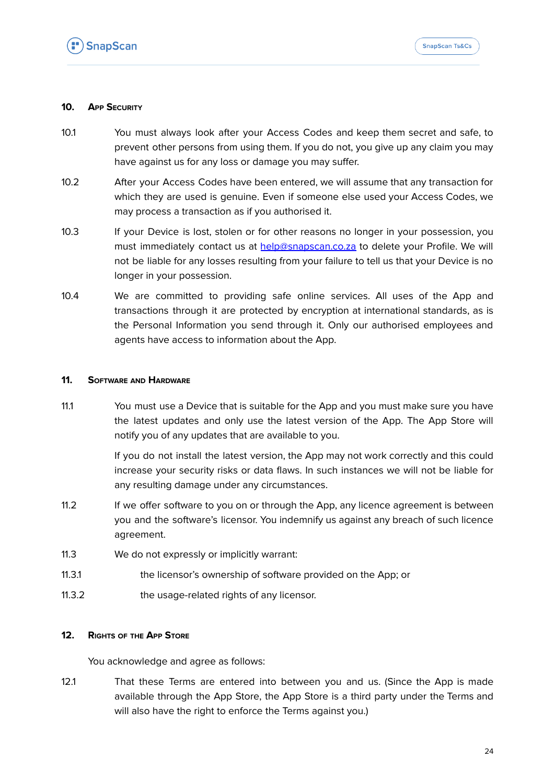

## **10. APP SECURITY**

- 10.1 You must always look after your Access Codes and keep them secret and safe, to prevent other persons from using them. If you do not, you give up any claim you may have against us for any loss or damage you may suffer.
- 10.2 After your Access Codes have been entered, we will assume that any transaction for which they are used is genuine. Even if someone else used your Access Codes, we may process a transaction as if you authorised it.
- 10.3 If your Device is lost, stolen or for other reasons no longer in your possession, you must immediately contact us at [help@snapscan.co.za](mailto:help@snapscan.co.za) to delete your Profile. We will not be liable for any losses resulting from your failure to tell us that your Device is no longer in your possession.
- 10.4 We are committed to providing safe online services. All uses of the App and transactions through it are protected by encryption at international standards, as is the Personal Information you send through it. Only our authorised employees and agents have access to information about the App.

## **11. SOFTWARE AND HARDWARE**

11.1 You must use a Device that is suitable for the App and you must make sure you have the latest updates and only use the latest version of the App. The App Store will notify you of any updates that are available to you.

> If you do not install the latest version, the App may not work correctly and this could increase your security risks or data flaws. In such instances we will not be liable for any resulting damage under any circumstances.

- 11.2 If we offer software to you on or through the App, any licence agreement is between you and the software's licensor. You indemnify us against any breach of such licence agreement.
- 11.3 We do not expressly or implicitly warrant:
- 11.3.1 the licensor's ownership of software provided on the App; or
- 11.3.2 the usage-related rights of any licensor.

# **12. RIGHTS OF THE APP STORE**

You acknowledge and agree as follows:

12.1 That these Terms are entered into between you and us. (Since the App is made available through the App Store, the App Store is a third party under the Terms and will also have the right to enforce the Terms against you.)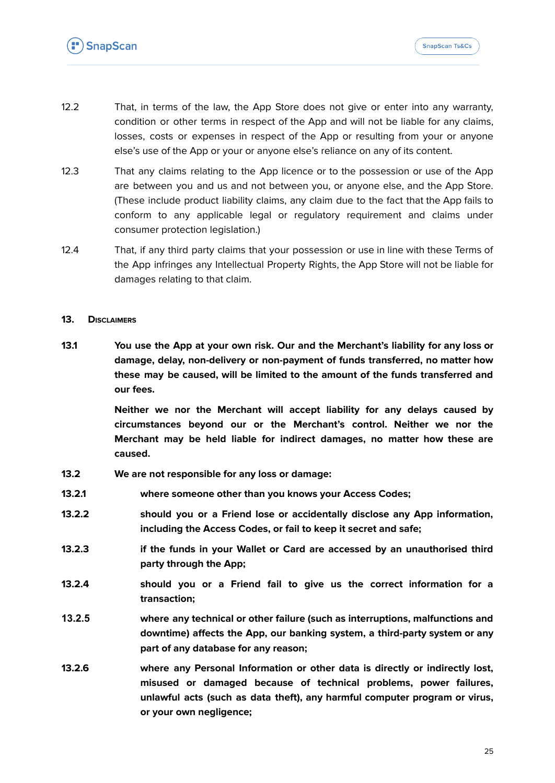- 12.2 That, in terms of the law, the App Store does not give or enter into any warranty, condition or other terms in respect of the App and will not be liable for any claims, losses, costs or expenses in respect of the App or resulting from your or anyone else's use of the App or your or anyone else's reliance on any of its content.
- 12.3 That any claims relating to the App licence or to the possession or use of the App are between you and us and not between you, or anyone else, and the App Store. (These include product liability claims, any claim due to the fact that the App fails to conform to any applicable legal or regulatory requirement and claims under consumer protection legislation.)
- 12.4 That, if any third party claims that your possession or use in line with these Terms of the App infringes any Intellectual Property Rights, the App Store will not be liable for damages relating to that claim.
- **13. DISCLAIMERS**
- **13.1 You use the App at your own risk. Our and the Merchant's liability for any loss or damage, delay, non-delivery or non-payment of funds transferred, no matter how these may be caused, will be limited to the amount of the funds transferred and our fees.**

**Neither we nor the Merchant will accept liability for any delays caused by circumstances beyond our or the Merchant's control. Neither we nor the Merchant may be held liable for indirect damages, no matter how these are caused.**

- **13.2 We are not responsible for any loss or damage:**
- **13.2.1 where someone other than you knows your Access Codes;**
- **13.2.2 should you or a Friend lose or accidentally disclose any App information, including the Access Codes, or fail to keep it secret and safe;**
- **13.2.3 if the funds in your Wallet or Card are accessed by an unauthorised third party through the App;**
- **13.2.4 should you or a Friend fail to give us the correct information for a transaction;**
- **13.2.5 where any technical or other failure (such as interruptions, malfunctions and downtime) affects the App, our banking system, a third-party system or any part of any database for any reason;**
- **13.2.6 where any Personal Information or other data is directly or indirectly lost, misused or damaged because of technical problems, power failures, unlawful acts (such as data theft), any harmful computer program or virus, or your own negligence;**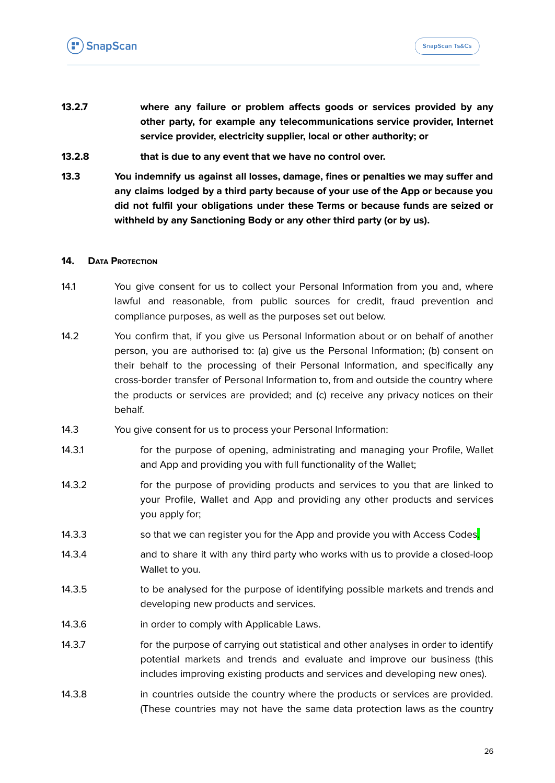- **13.2.7 where any failure or problem affects goods or services provided by any other party, for example any telecommunications service provider, Internet service provider, electricity supplier, local or other authority; or**
- **13.2.8 that is due to any event that we have no control over.**
- **13.3 You indemnify us against all losses, damage, fines or penalties we may suffer and any claims lodged by a third party because of your use of the App or because you did not fulfil your obligations under these Terms or because funds are seized or withheld by any Sanctioning Body or any other third party (or by us).**

## **14. DATA PROTECTION**

- 14.1 You give consent for us to collect your Personal Information from you and, where lawful and reasonable, from public sources for credit, fraud prevention and compliance purposes, as well as the purposes set out below.
- 14.2 You confirm that, if you give us Personal Information about or on behalf of another person, you are authorised to: (a) give us the Personal Information; (b) consent on their behalf to the processing of their Personal Information, and specifically any cross-border transfer of Personal Information to, from and outside the country where the products or services are provided; and (c) receive any privacy notices on their behalf.
- 14.3 You give consent for us to process your Personal Information:
- 14.3.1 for the purpose of opening, administrating and managing your Profile, Wallet and App and providing you with full functionality of the Wallet;
- 14.3.2 for the purpose of providing products and services to you that are linked to your Profile, Wallet and App and providing any other products and services you apply for;
- 14.3.3 so that we can register you for the App and provide you with Access Codes.
- 14.3.4 and to share it with any third party who works with us to provide a closed-loop Wallet to you.
- 14.3.5 to be analysed for the purpose of identifying possible markets and trends and developing new products and services.
- 14.3.6 in order to comply with Applicable Laws.
- 14.3.7 for the purpose of carrying out statistical and other analyses in order to identify potential markets and trends and evaluate and improve our business (this includes improving existing products and services and developing new ones).
- 14.3.8 in countries outside the country where the products or services are provided. (These countries may not have the same data protection laws as the country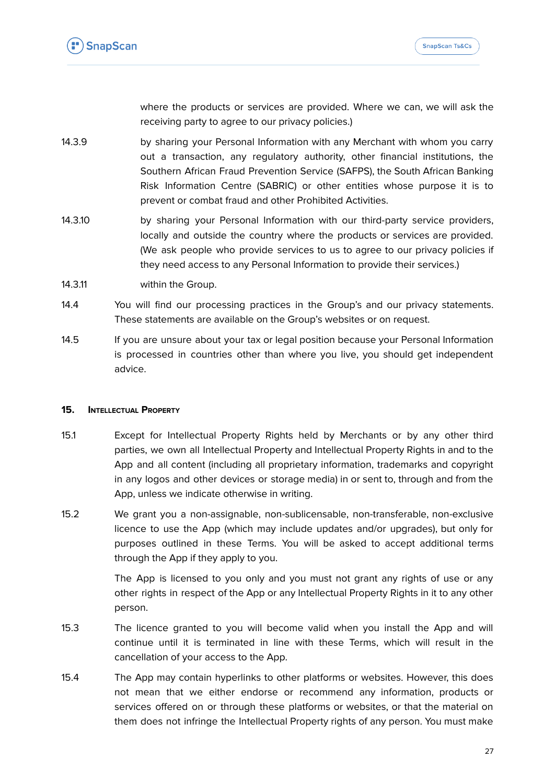where the products or services are provided. Where we can, we will ask the receiving party to agree to our privacy policies.)

- 14.3.9 by sharing your Personal Information with any Merchant with whom you carry out a transaction, any regulatory authority, other financial institutions, the Southern African Fraud Prevention Service (SAFPS), the South African Banking Risk Information Centre (SABRIC) or other entities whose purpose it is to prevent or combat fraud and other Prohibited Activities.
- 14.3.10 by sharing your Personal Information with our third-party service providers, locally and outside the country where the products or services are provided. (We ask people who provide services to us to agree to our privacy policies if they need access to any Personal Information to provide their services.)
- 14.3.11 within the Group.
- 14.4 You will find our processing practices in the Group's and our privacy statements. These statements are available on the Group's websites or on request.
- 14.5 If you are unsure about your tax or legal position because your Personal Information is processed in countries other than where you live, you should get independent advice.

## **15. INTELLECTUAL PROPERTY**

- 15.1 Except for Intellectual Property Rights held by Merchants or by any other third parties, we own all Intellectual Property and Intellectual Property Rights in and to the App and all content (including all proprietary information, trademarks and copyright in any logos and other devices or storage media) in or sent to, through and from the App, unless we indicate otherwise in writing.
- 15.2 We grant you a non-assignable, non-sublicensable, non-transferable, non-exclusive licence to use the App (which may include updates and/or upgrades), but only for purposes outlined in these Terms. You will be asked to accept additional terms through the App if they apply to you.

The App is licensed to you only and you must not grant any rights of use or any other rights in respect of the App or any Intellectual Property Rights in it to any other person.

- 15.3 The licence granted to you will become valid when you install the App and will continue until it is terminated in line with these Terms, which will result in the cancellation of your access to the App.
- 15.4 The App may contain hyperlinks to other platforms or websites. However, this does not mean that we either endorse or recommend any information, products or services offered on or through these platforms or websites, or that the material on them does not infringe the Intellectual Property rights of any person. You must make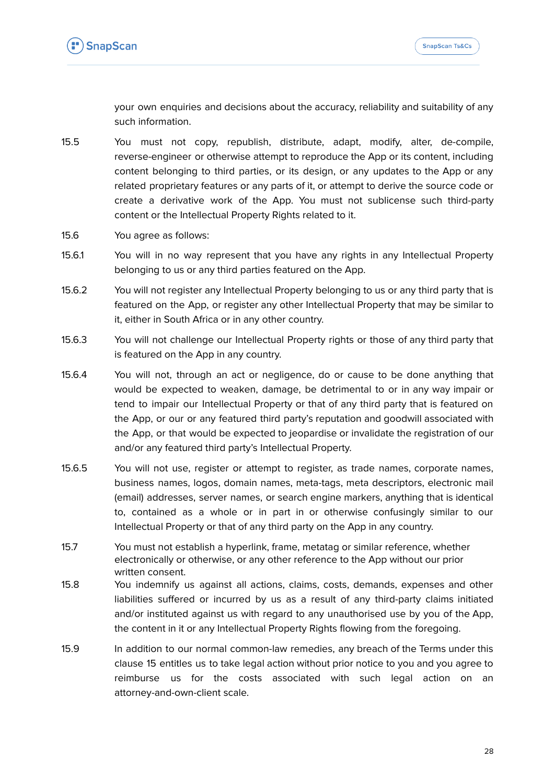

your own enquiries and decisions about the accuracy, reliability and suitability of any such information.

- 15.5 You must not copy, republish, distribute, adapt, modify, alter, de-compile, reverse-engineer or otherwise attempt to reproduce the App or its content, including content belonging to third parties, or its design, or any updates to the App or any related proprietary features or any parts of it, or attempt to derive the source code or create a derivative work of the App. You must not sublicense such third-party content or the Intellectual Property Rights related to it.
- 15.6 You agree as follows:
- 15.6.1 You will in no way represent that you have any rights in any Intellectual Property belonging to us or any third parties featured on the App.
- 15.6.2 You will not register any Intellectual Property belonging to us or any third party that is featured on the App, or register any other Intellectual Property that may be similar to it, either in South Africa or in any other country.
- 15.6.3 You will not challenge our Intellectual Property rights or those of any third party that is featured on the App in any country.
- 15.6.4 You will not, through an act or negligence, do or cause to be done anything that would be expected to weaken, damage, be detrimental to or in any way impair or tend to impair our Intellectual Property or that of any third party that is featured on the App, or our or any featured third party's reputation and goodwill associated with the App, or that would be expected to jeopardise or invalidate the registration of our and/or any featured third party's Intellectual Property.
- 15.6.5 You will not use, register or attempt to register, as trade names, corporate names, business names, logos, domain names, meta-tags, meta descriptors, electronic mail (email) addresses, server names, or search engine markers, anything that is identical to, contained as a whole or in part in or otherwise confusingly similar to our Intellectual Property or that of any third party on the App in any country.
- 15.7 You must not establish a hyperlink, frame, metatag or similar reference, whether electronically or otherwise, or any other reference to the App without our prior written consent.
- 15.8 You indemnify us against all actions, claims, costs, demands, expenses and other liabilities suffered or incurred by us as a result of any third-party claims initiated and/or instituted against us with regard to any unauthorised use by you of the App, the content in it or any Intellectual Property Rights flowing from the foregoing.
- 15.9 In addition to our normal common-law remedies, any breach of the Terms under this clause 15 entitles us to take legal action without prior notice to you and you agree to reimburse us for the costs associated with such legal action on an attorney-and-own-client scale.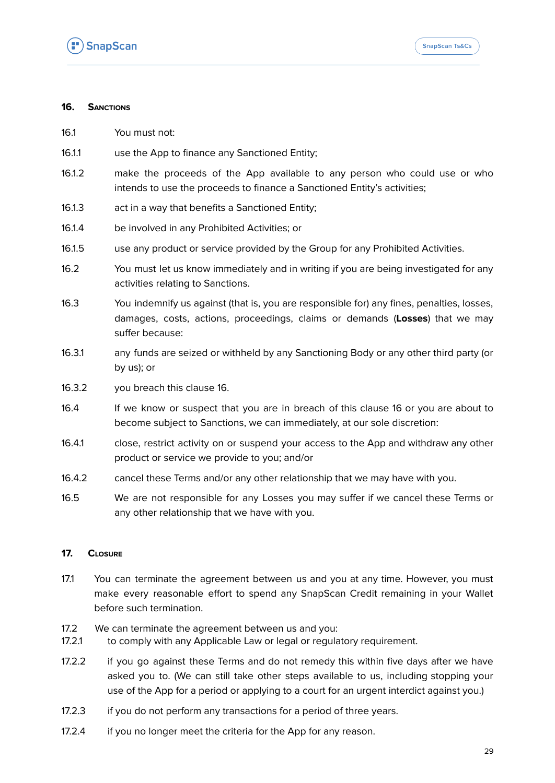

## **16. SANCTIONS**

- 16.1 You must not:
- 16.1.1 use the App to finance any Sanctioned Entity;
- 16.1.2 make the proceeds of the App available to any person who could use or who intends to use the proceeds to finance a Sanctioned Entity's activities;
- 16.1.3 act in a way that benefits a Sanctioned Entity;
- 16.1.4 be involved in any Prohibited Activities; or
- 16.1.5 use any product or service provided by the Group for any Prohibited Activities.
- 16.2 You must let us know immediately and in writing if you are being investigated for any activities relating to Sanctions.
- 16.3 You indemnify us against (that is, you are responsible for) any fines, penalties, losses, damages, costs, actions, proceedings, claims or demands (**Losses**) that we may suffer because:
- 16.3.1 any funds are seized or withheld by any Sanctioning Body or any other third party (or by us); or
- 16.3.2 you breach this clause 16.
- 16.4 If we know or suspect that you are in breach of this clause 16 or you are about to become subject to Sanctions, we can immediately, at our sole discretion:
- 16.4.1 close, restrict activity on or suspend your access to the App and withdraw any other product or service we provide to you; and/or
- 16.4.2 cancel these Terms and/or any other relationship that we may have with you.
- 16.5 We are not responsible for any Losses you may suffer if we cancel these Terms or any other relationship that we have with you.

## **17. CLOSURE**

- 17.1 You can terminate the agreement between us and you at any time. However, you must make every reasonable effort to spend any SnapScan Credit remaining in your Wallet before such termination.
- 17.2 We can terminate the agreement between us and you:
- 17.2.1 to comply with any Applicable Law or legal or regulatory requirement.
- 17.2.2 if you go against these Terms and do not remedy this within five days after we have asked you to. (We can still take other steps available to us, including stopping your use of the App for a period or applying to a court for an urgent interdict against you.)
- 17.2.3 if you do not perform any transactions for a period of three vears.
- 17.2.4 if you no longer meet the criteria for the App for any reason.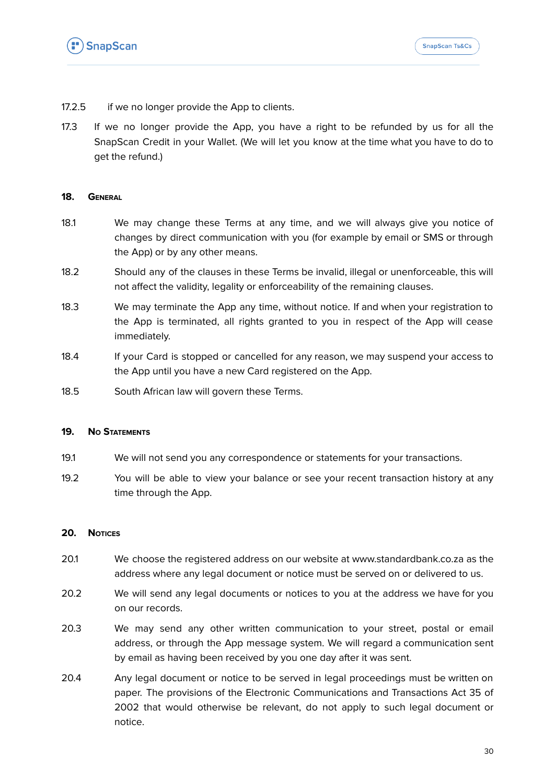

- 17.2.5 if we no longer provide the App to clients.
- 17.3 If we no longer provide the App, you have a right to be refunded by us for all the SnapScan Credit in your Wallet. (We will let you know at the time what you have to do to get the refund.)

## **18. GENERAL**

- 18.1 We may change these Terms at any time, and we will always give you notice of changes by direct communication with you (for example by email or SMS or through the App) or by any other means.
- 18.2 Should any of the clauses in these Terms be invalid, illegal or unenforceable, this will not affect the validity, legality or enforceability of the remaining clauses.
- 18.3 We may terminate the App any time, without notice. If and when your registration to the App is terminated, all rights granted to you in respect of the App will cease immediately.
- 18.4 If your Card is stopped or cancelled for any reason, we may suspend your access to the App until you have a new Card registered on the App.
- 18.5 South African law will govern these Terms.

## **19. NO STATEMENTS**

- 19.1 We will not send you any correspondence or statements for your transactions.
- 19.2 You will be able to view your balance or see your recent transaction history at any time through the App.

## **20. NOTICES**

- 20.1 We choose the registered address on our website at [www.standardbank.co.za](http://www.standardbank.co.za) as the address where any legal document or notice must be served on or delivered to us.
- 20.2 We will send any legal documents or notices to you at the address we have for you on our records.
- 20.3 We may send any other written communication to your street, postal or email address, or through the App message system. We will regard a communication sent by email as having been received by you one day after it was sent.
- 20.4 Any legal document or notice to be served in legal proceedings must be written on paper. The provisions of the Electronic Communications and Transactions Act 35 of 2002 that would otherwise be relevant, do not apply to such legal document or notice.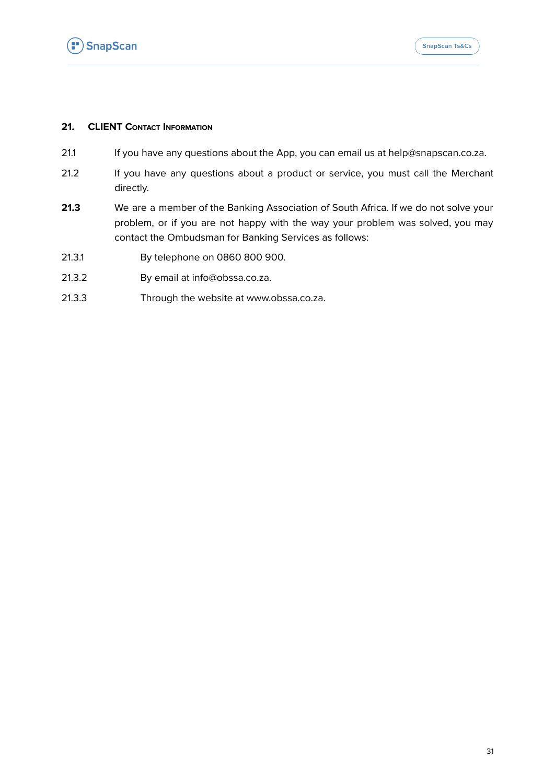

## **21. CLIENT CONTACT INFORMATION**

- 21.1 If you have any questions about the App, you can email us at [help@snapscan.co.za](mailto:help@snapscan.co.za).
- 21.2 If you have any questions about a product or service, you must call the Merchant directly.
- **21.3** We are a member of the Banking Association of South Africa. If we do not solve your problem, or if you are not happy with the way your problem was solved, you may contact the Ombudsman for Banking Services as follows:
- 21.3.1 By telephone on 0860 800 900.
- 21.3.2 By email at [info@obssa.co.za](mailto:info@obssa.co.za).
- 21.3.3 Through the website at www.obssa.co.za.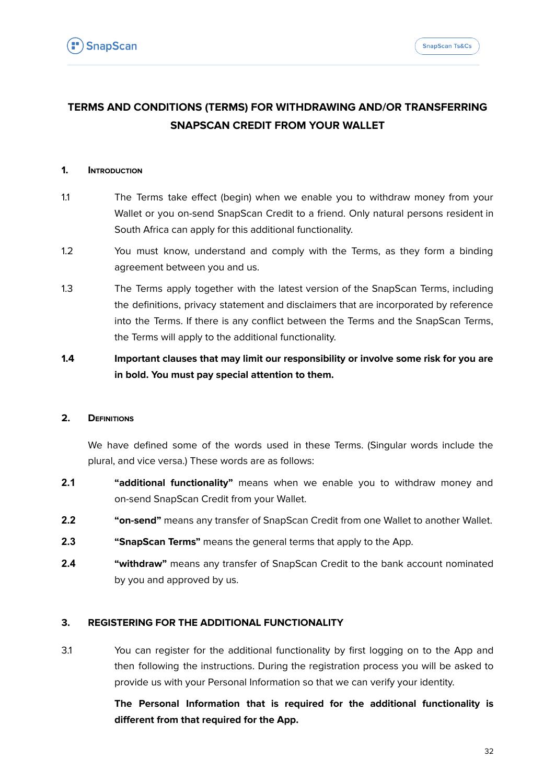# **TERMS AND CONDITIONS (TERMS) FOR WITHDRAWING AND/OR TRANSFERRING SNAPSCAN CREDIT FROM YOUR WALLET**

## **1. INTRODUCTION**

- 1.1 The Terms take effect (begin) when we enable you to withdraw money from your Wallet or you on-send SnapScan Credit to a friend. Only natural persons resident in South Africa can apply for this additional functionality.
- 1.2 You must know, understand and comply with the Terms, as they form a binding agreement between you and us.
- 1.3 The Terms apply together with the latest version of the SnapScan Terms, including the definitions, privacy statement and disclaimers that are incorporated by reference into the Terms. If there is any conflict between the Terms and the SnapScan Terms, the Terms will apply to the additional functionality.
- **1.4 Important clauses that may limit our responsibility or involve some risk for you are in bold. You must pay special attention to them.**

## **2. DEFINITIONS**

We have defined some of the words used in these Terms. (Singular words include the plural, and vice versa.) These words are as follows:

- **2.1 "additional functionality"** means when we enable you to withdraw money and on-send SnapScan Credit from your Wallet.
- **2.2 "on-send"** means any transfer of SnapScan Credit from one Wallet to another Wallet.
- **2.3 "SnapScan Terms"** means the general terms that apply to the App.
- **2.4 "withdraw"** means any transfer of SnapScan Credit to the bank account nominated by you and approved by us.

## **3. REGISTERING FOR THE ADDITIONAL FUNCTIONALITY**

3.1 You can register for the additional functionality by first logging on to the App and then following the instructions. During the registration process you will be asked to provide us with your Personal Information so that we can verify your identity.

> **The Personal Information that is required for the additional functionality is different from that required for the App.**